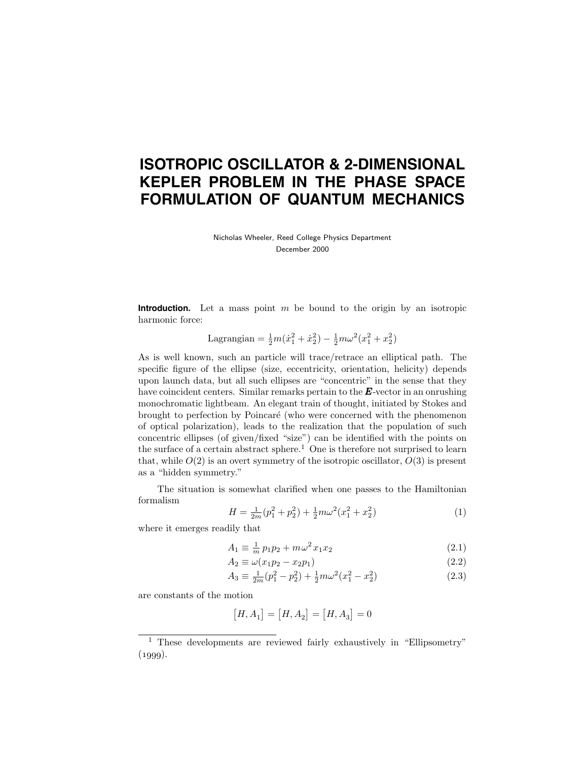# **ISOTROPIC OSCILLATOR & 2-DIMENSIONAL KEPLER PROBLEM IN THE PHASE SPACE FORMULATION OF QUANTUM MECHANICS**

Nicholas Wheeler, Reed College Physics Department December 2000

**Introduction.** Let a mass point m be bound to the origin by an isotropic harmonic force:

Lagrangian = 
$$
\frac{1}{2}m(\dot{x}_1^2 + \dot{x}_2^2) - \frac{1}{2}m\omega^2(x_1^2 + x_2^2)
$$

As is well known, such an particle will trace/retrace an elliptical path. The specific figure of the ellipse (size, eccentricity, orientation, helicity) depends upon launch data, but all such ellipses are "concentric" in the sense that they have coincident centers. Similar remarks pertain to the **E**-vector in an onrushing monochromatic lightbeam. An elegant train of thought, initiated by Stokes and brought to perfection by Poincaré (who were concerned with the phenomenon of optical polarization), leads to the realization that the population of such concentric ellipses (of given/fixed "size") can be identified with the points on the surface of a certain abstract sphere.<sup>1</sup> One is therefore not surprised to learn that, while  $O(2)$  is an overt symmetry of the isotropic oscillator,  $O(3)$  is present as a "hidden symmetry."

The situation is somewhat clarified when one passes to the Hamiltonian formalism

$$
H = \frac{1}{2m}(p_1^2 + p_2^2) + \frac{1}{2}m\omega^2(x_1^2 + x_2^2)
$$
 (1)

where it emerges readily that

$$
A_1 \equiv \frac{1}{m} p_1 p_2 + m \omega^2 x_1 x_2 \tag{2.1}
$$

$$
A_2 \equiv \omega(x_1 p_2 - x_2 p_1) \tag{2.2}
$$

$$
A_3 \equiv \frac{1}{2m}(p_1^2 - p_2^2) + \frac{1}{2}m\omega^2(x_1^2 - x_2^2)
$$
 (2.3)

are constants of the motion

$$
[H, A_1] = [H, A_2] = [H, A_3] = 0
$$

<sup>&</sup>lt;sup>1</sup> These developments are reviewed fairly exhaustively in "Ellipsometry"  $(1999).$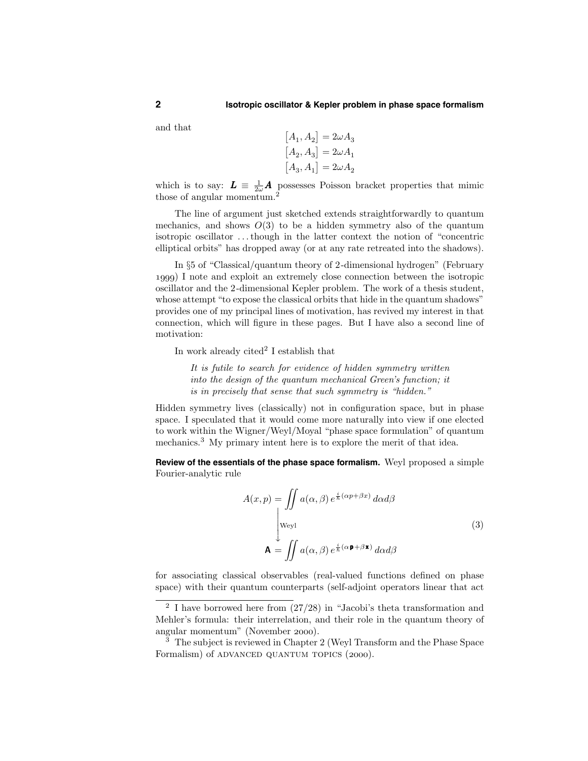and that

$$
\begin{aligned}[A_1,A_2] &= 2\omega A_3\\ [A_2,A_3] &= 2\omega A_1\\ [A_3,A_1] &= 2\omega A_2\end{aligned}
$$

which is to say:  $\boldsymbol{L} \equiv \frac{1}{2\omega} \boldsymbol{A}$  possesses Poisson bracket properties that mimic those of angular momentum.<sup>2</sup>

The line of argument just sketched extends straightforwardly to quantum mechanics, and shows  $O(3)$  to be a hidden symmetry also of the quantum isotropic oscillator . . .though in the latter context the notion of "concentric elliptical orbits" has dropped away (or at any rate retreated into the shadows).

In §5 of "Classical/quantum theory of 2-dimensional hydrogen" (February ) I note and exploit an extremely close connection between the isotropic oscillator and the 2-dimensional Kepler problem. The work of a thesis student, whose attempt "to expose the classical orbits that hide in the quantum shadows" provides one of my principal lines of motivation, has revived my interest in that connection, which will figure in these pages. But I have also a second line of motivation:

In work already cited<sup>2</sup> I establish that

It is futile to search for evidence of hidden symmetry written into the design of the quantum mechanical Green's function; it is in precisely that sense that such symmetry is "hidden."

Hidden symmetry lives (classically) not in configuration space, but in phase space. I speculated that it would come more naturally into view if one elected to work within the Wigner/Weyl/Moyal "phase space formulation" of quantum mechanics.<sup>3</sup> My primary intent here is to explore the merit of that idea.

**Review of the essentials of the phase space formalism.** Weyl proposed a simple Fourier-analytic rule

$$
A(x, p) = \iint a(\alpha, \beta) e^{\frac{i}{\hbar}(\alpha p + \beta x)} d\alpha d\beta
$$
  
\n[weyl]  
\n
$$
\mathbf{A} = \iint a(\alpha, \beta) e^{\frac{i}{\hbar}(\alpha \mathbf{p} + \beta \mathbf{x})} d\alpha d\beta
$$
\n(3)

for associating classical observables (real-valued functions defined on phase space) with their quantum counterparts (self-adjoint operators linear that act

<sup>&</sup>lt;sup>2</sup> I have borrowed here from  $(27/28)$  in "Jacobi's theta transformation and Mehler's formula: their interrelation, and their role in the quantum theory of angular momentum" (November 2000).

<sup>&</sup>lt;sup>3</sup> The subject is reviewed in Chapter 2 (Weyl Transform and the Phase Space Formalism) of ADVANCED QUANTUM TOPICS (2000).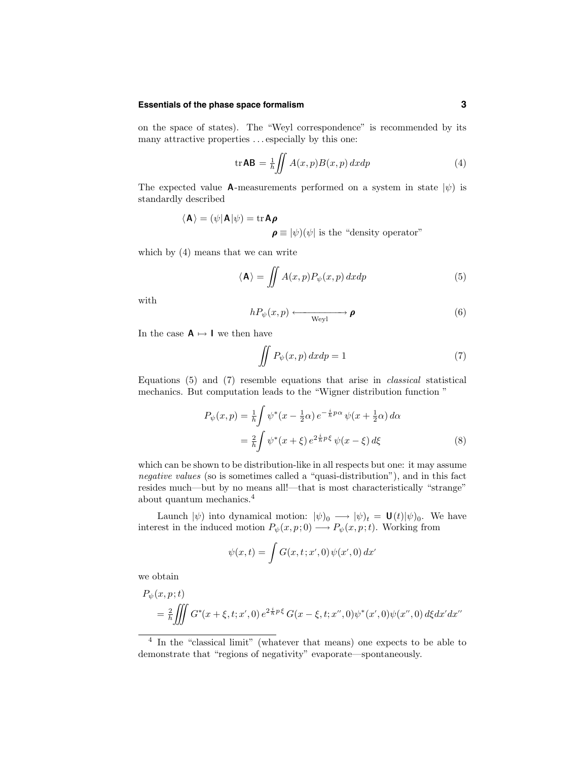#### **Essentials of the phase space formalism 3**

on the space of states). The "Weyl correspondence" is recommended by its many attractive properties ... especially by this one:

$$
\operatorname{tr} \mathbf{AB} = \frac{1}{h} \iint A(x, p) B(x, p) \, dx dp \tag{4}
$$

The expected value A-measurements performed on a system in state  $|\psi\rangle$  is standardly described

$$
\langle \mathbf{A} \rangle = (\psi | \mathbf{A} | \psi) = \text{tr} \mathbf{A} \boldsymbol{\rho}
$$
  
 $\boldsymbol{\rho} \equiv |\psi)(\psi|$  is the "density operator"

which by (4) means that we can write

$$
\langle \mathbf{A} \rangle = \iint A(x, p) P_{\psi}(x, p) dx dp \tag{5}
$$

with

$$
hP_{\psi}(x,p) \xleftarrow{\text{Weyl}} \boldsymbol{\rho} \tag{6}
$$

In the case  $A \mapsto I$  we then have

$$
\iint P_{\psi}(x, p) dx dp = 1 \tag{7}
$$

Equations (5) and (7) resemble equations that arise in classical statistical mechanics. But computation leads to the "Wigner distribution function "

$$
P_{\psi}(x, p) = \frac{1}{\hbar} \int \psi^*(x - \frac{1}{2}\alpha) e^{-\frac{i}{\hbar}p\alpha} \psi(x + \frac{1}{2}\alpha) d\alpha
$$
  

$$
= \frac{2}{\hbar} \int \psi^*(x + \xi) e^{2\frac{i}{\hbar}p\xi} \psi(x - \xi) d\xi
$$
 (8)

which can be shown to be distribution-like in all respects but one: it may assume negative values (so is sometimes called a "quasi-distribution"), and in this fact resides much—but by no means all!—that is most characteristically "strange" about quantum mechanics.<sup>4</sup>

Launch  $|\psi\rangle$  into dynamical motion:  $|\psi\rangle_0 \longrightarrow |\psi\rangle_t = \mathbf{U}(t)|\psi\rangle_0$ . We have interest in the induced motion  $P_{\psi}(x, p; 0) \longrightarrow P_{\psi}(x, p; t)$ . Working from

$$
\psi(x,t) = \int G(x,t;x',0)\,\psi(x',0)\,dx'
$$

we obtain

$$
P_{\psi}(x, p; t)
$$
  
=  $\frac{2}{\hbar} \iiint G^*(x + \xi, t; x', 0) e^{2\frac{i}{\hbar}p\xi} G(x - \xi, t; x'', 0) \psi^*(x', 0) \psi(x'', 0) d\xi dx' dx''$ 

<sup>4</sup> In the "classical limit" (whatever that means) one expects to be able to demonstrate that "regions of negativity" evaporate—spontaneously.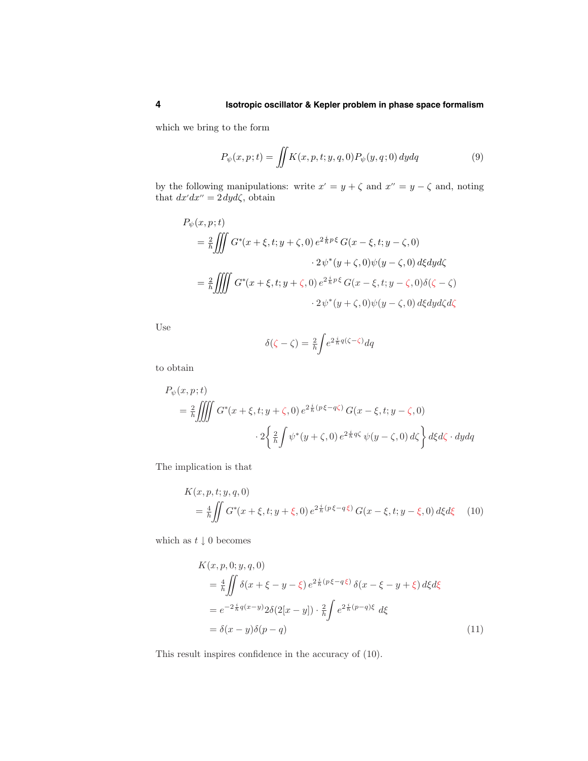which we bring to the form

$$
P_{\psi}(x,p;t) = \iint K(x,p,t;y,q,0) P_{\psi}(y,q;0) dydq
$$
\n(9)

by the following manipulations: write  $x' = y + \zeta$  and  $x'' = y - \zeta$  and, noting that  $dx'dx'' = 2 dy d\zeta$ , obtain

$$
P_{\psi}(x, p; t)
$$
\n
$$
= \frac{2}{\hbar} \iiint G^*(x + \xi, t; y + \zeta, 0) e^{2\frac{i}{\hbar}p\xi} G(x - \xi, t; y - \zeta, 0)
$$
\n
$$
\cdot 2\psi^*(y + \zeta, 0)\psi(y - \zeta, 0) d\xi dy d\zeta
$$
\n
$$
= \frac{2}{\hbar} \iiint G^*(x + \xi, t; y + \zeta, 0) e^{2\frac{i}{\hbar}p\xi} G(x - \xi, t; y - \zeta, 0) \delta(\zeta - \zeta)
$$
\n
$$
\cdot 2\psi^*(y + \zeta, 0)\psi(y - \zeta, 0) d\xi dy d\zeta d\zeta
$$

Use

$$
\delta(\zeta - \zeta) = \frac{2}{h} \int e^{2\frac{i}{h}q(\zeta - \zeta)} dq
$$

to obtain

$$
P_{\psi}(x, p; t)
$$
  
=  $\frac{2}{\hbar} \iiint G^*(x + \xi, t; y + \zeta, 0) e^{2\frac{i}{\hbar}(p\xi - q\zeta)} G(x - \xi, t; y - \zeta, 0)$   

$$
\cdot 2 \left\{ \frac{2}{\hbar} \int \psi^*(y + \zeta, 0) e^{2\frac{i}{\hbar}q\zeta} \psi(y - \zeta, 0) d\zeta \right\} d\xi d\zeta \cdot dy dq
$$

The implication is that

$$
K(x, p, t; y, q, 0)
$$
  
=  $\frac{4}{\hbar} \iint G^*(x + \xi, t; y + \xi, 0) e^{2\frac{i}{\hbar}(p\xi - q\xi)} G(x - \xi, t; y - \xi, 0) d\xi d\xi$  (10)

which as  $t \downarrow 0$  becomes

$$
K(x, p, 0; y, q, 0)
$$
  
=  $\frac{4}{\hbar} \iint \delta(x + \xi - y - \xi) e^{2\frac{i}{\hbar}(p\xi - q\xi)} \delta(x - \xi - y + \xi) d\xi d\xi$   
=  $e^{-2\frac{i}{\hbar}q(x-y)} 2\delta(2[x - y]) \cdot \frac{2}{\hbar} \int e^{2\frac{i}{\hbar}(p-q)\xi} d\xi$   
=  $\delta(x - y)\delta(p - q)$  (11)

This result inspires confidence in the accuracy of (10).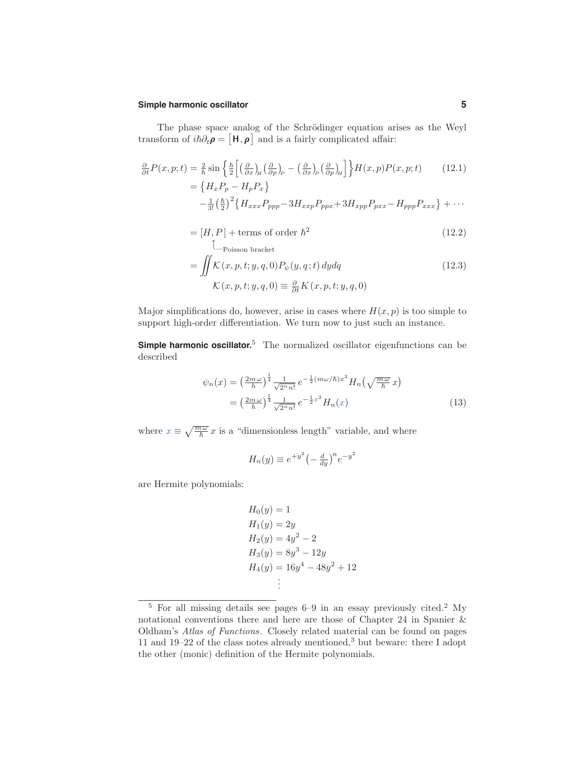#### **Simple harmonic oscillator 5**

The phase space analog of the Schrödinger equation arises as the Weyl transform of  $i\hbar \partial_t \rho = [\mathbf{H}, \rho]$  and is a fairly complicated affair:

$$
\frac{\partial}{\partial t}P(x, p; t) = \frac{2}{\hbar} \sin \left\{ \frac{\hbar}{2} \left[ \left( \frac{\partial}{\partial x} \right)_H \left( \frac{\partial}{\partial p} \right)_P - \left( \frac{\partial}{\partial x} \right)_P \left( \frac{\partial}{\partial p} \right)_H \right] \right\} H(x, p) P(x, p; t) \tag{12.1}
$$
\n
$$
= \left\{ H_x P_p - H_p P_x \right\}
$$
\n
$$
- \frac{1}{3!} \left( \frac{\hbar}{2} \right)^2 \left\{ H_{xxx} P_{ppp} - 3 H_{xxp} P_{pxx} + 3 H_{xpp} P_{pxx} - H_{ppp} P_{xxx} \right\} + \cdots
$$

$$
= [H, P] + \text{terms of order } \hbar^2 \tag{12.2}
$$

$$
= \iint \mathcal{K}(x, p, t; y, q, 0) P_{\psi}(y, q; t) dy dq
$$
  

$$
\mathcal{K}(x, p, t; y, q, 0) \equiv \frac{\partial}{\partial t} K(x, p, t; y, q, 0)
$$
 (12.3)

Major simplifications do, however, arise in cases where  $H(x, p)$  is too simple to support high-order differentiation. We turn now to just such an instance.

**Simple harmonic oscillator.** <sup>5</sup> The normalized oscillator eigenfunctions can be described

$$
\psi_n(x) = \left(\frac{2m\omega}{h}\right)^{\frac{1}{4}} \frac{1}{\sqrt{2^n n!}} e^{-\frac{1}{2}(m\omega/\hbar)x^2} H_n\left(\sqrt{\frac{m\omega}{\hbar}}x\right)
$$

$$
= \left(\frac{2m\omega}{h}\right)^{\frac{1}{4}} \frac{1}{\sqrt{2^n n!}} e^{-\frac{1}{2}x^2} H_n(x) \tag{13}
$$

where  $x \equiv \sqrt{\frac{m\omega}{\hbar}} x$  is a "dimensionless length" variable, and where

$$
H_n(y) \equiv e^{+y^2} \left(-\frac{d}{dy}\right)^n e^{-y^2}
$$

are Hermite polynomials:

$$
H_0(y) = 1
$$
  
\n
$$
H_1(y) = 2y
$$
  
\n
$$
H_2(y) = 4y^2 - 2
$$
  
\n
$$
H_3(y) = 8y^3 - 12y
$$
  
\n
$$
H_4(y) = 16y^4 - 48y^2 + 12
$$
  
\n
$$
\vdots
$$

<sup>5</sup> For all missing details see pages 6–9 in an essay previously cited.<sup>2</sup> My notational conventions there and here are those of Chapter 24 in Spanier & Oldham's Atlas of Functions. Closely related material can be found on pages 11 and 19–22 of the class notes already mentioned,<sup>3</sup> but beware: there I adopt the other (monic) definition of the Hermite polynomials.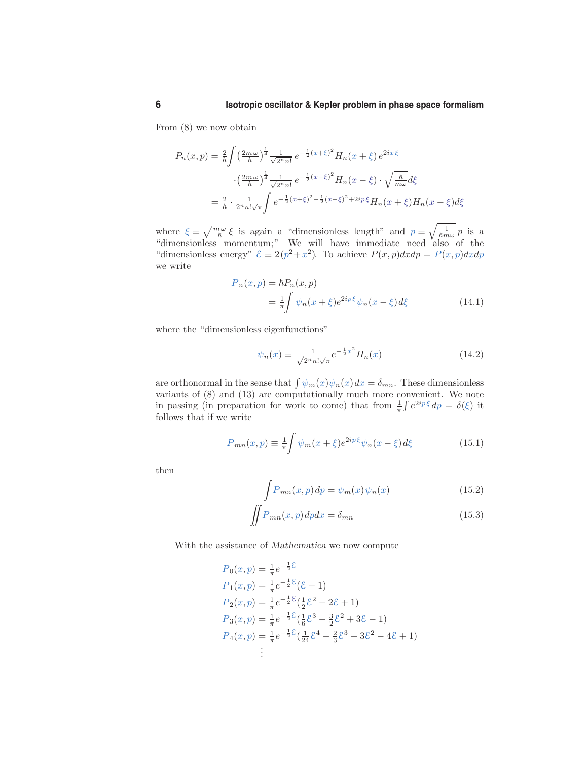From (8) we now obtain

$$
P_n(x,p) = \frac{2}{h} \int \left(\frac{2m\omega}{h}\right)^{\frac{1}{4}} \frac{1}{\sqrt{2^n n!}} e^{-\frac{1}{2}(x+\xi)^2} H_n(x+\xi) e^{2ix\cdot\xi}
$$

$$
\cdot \left(\frac{2m\omega}{h}\right)^{\frac{1}{4}} \frac{1}{\sqrt{2^n n!}} e^{-\frac{1}{2}(x-\xi)^2} H_n(x-\xi) \cdot \sqrt{\frac{h}{m\omega}} d\xi
$$

$$
= \frac{2}{h} \cdot \frac{1}{2^n n! \sqrt{\pi}} \int e^{-\frac{1}{2}(x+\xi)^2 - \frac{1}{2}(x-\xi)^2 + 2ip\cdot\xi} H_n(x+\xi) H_n(x-\xi) d\xi
$$

where  $\xi \equiv \sqrt{\frac{m\omega}{\hbar}} \xi$  is again a "dimensionless length" and  $p \equiv \sqrt{\frac{1}{\hbar m \omega}} p$  is a "dimensionless momentum;" We will have immediate need also of the "dimensionless energy"  $\mathcal{E} \equiv 2(p^2 + x^2)$ . To achieve  $P(x, p) dx dp = P(x, p) dx dp$ we write

$$
P_n(x,p) = \hbar P_n(x,p)
$$
  
=  $\frac{1}{\pi} \int \psi_n(x+\xi) e^{2ip\xi} \psi_n(x-\xi) d\xi$  (14.1)

where the "dimensionless eigenfunctions"

$$
\psi_n(x) \equiv \frac{1}{\sqrt{2^n n! \sqrt{\pi}}} e^{-\frac{1}{2}x^2} H_n(x) \tag{14.2}
$$

are orthonormal in the sense that  $\int \psi_m(x)\psi_n(x)dx = \delta_{mn}$ . These dimensionless variants of (8) and (13) are computationally much more convenient. We note in passing (in preparation for work to come) that from  $\frac{1}{\pi} \int e^{2ip\xi} dp = \delta(\xi)$  it follows that if we write

$$
P_{mn}(x,p) \equiv \frac{1}{\pi} \int \psi_m(x+\xi) e^{2ip\,\xi} \psi_n(x-\xi) d\xi \tag{15.1}
$$

then

$$
\int P_{mn}(x,p) dp = \psi_m(x)\psi_n(x)
$$
\n(15.2)

$$
\iint P_{mn}(x, p) dp dx = \delta_{mn} \tag{15.3}
$$

With the assistance of Mathematica we now compute

$$
P_0(x, p) = \frac{1}{\pi}e^{-\frac{1}{2}\mathcal{E}}
$$
  
\n
$$
P_1(x, p) = \frac{1}{\pi}e^{-\frac{1}{2}\mathcal{E}}(\mathcal{E} - 1)
$$
  
\n
$$
P_2(x, p) = \frac{1}{\pi}e^{-\frac{1}{2}\mathcal{E}}(\frac{1}{2}\mathcal{E}^2 - 2\mathcal{E} + 1)
$$
  
\n
$$
P_3(x, p) = \frac{1}{\pi}e^{-\frac{1}{2}\mathcal{E}}(\frac{1}{6}\mathcal{E}^3 - \frac{3}{2}\mathcal{E}^2 + 3\mathcal{E} - 1)
$$
  
\n
$$
P_4(x, p) = \frac{1}{\pi}e^{-\frac{1}{2}\mathcal{E}}(\frac{1}{24}\mathcal{E}^4 - \frac{2}{3}\mathcal{E}^3 + 3\mathcal{E}^2 - 4\mathcal{E} + 1)
$$
  
\n
$$
\vdots
$$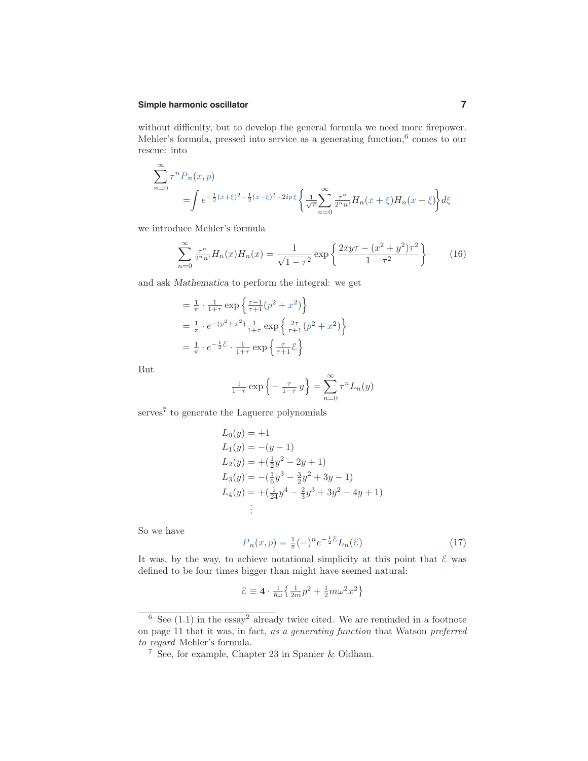# **Simple harmonic oscillator 7**

without difficulty, but to develop the general formula we need more firepower. Mehler's formula, pressed into service as a generating function, $6$  comes to our rescue: into

$$
\sum_{n=0}^{\infty} \tau^n P_n(x, p) = \int e^{-\frac{1}{2}(x+\xi)^2 - \frac{1}{2}(x-\xi)^2 + 2ip\,\xi} \left\{ \frac{1}{\sqrt{\pi}} \sum_{n=0}^{\infty} \frac{\tau^n}{2^n n!} H_n(x+\xi) H_n(x-\xi) \right\} d\xi
$$

we introduce Mehler's formula

$$
\sum_{n=0}^{\infty} \frac{\tau^n}{2^n n!} H_n(x) H_n(x) = \frac{1}{\sqrt{1-\tau^2}} \exp\left\{ \frac{2xy\tau - (x^2 + y^2)\tau^2}{1-\tau^2} \right\}
$$
(16)

and ask Mathematica to perform the integral: we get

$$
= \frac{1}{\pi} \cdot \frac{1}{1+\tau} \exp\left\{\frac{\tau-1}{\tau+1} (p^2 + x^2)\right\}
$$
  
=  $\frac{1}{\pi} \cdot e^{-(p^2 + x^2)} \frac{1}{1+\tau} \exp\left\{\frac{2\tau}{\tau+1} (p^2 + x^2)\right\}$   
=  $\frac{1}{\pi} \cdot e^{-\frac{1}{2}\xi} \cdot \frac{1}{1+\tau} \exp\left\{\frac{\tau}{\tau+1}\xi\right\}$ 

But

$$
\frac{1}{1-\tau}\exp\left\{-\frac{\tau}{1-\tau}y\right\} = \sum_{n=0}^{\infty} \tau^n L_n(y)
$$

serves<sup>7</sup> to generate the Laguerre polynomials

$$
L_0(y) = +1
$$
  
\n
$$
L_1(y) = -(y - 1)
$$
  
\n
$$
L_2(y) = +( \frac{1}{2}y^2 - 2y + 1)
$$
  
\n
$$
L_3(y) = -( \frac{1}{6}y^3 - \frac{3}{2}y^2 + 3y - 1)
$$
  
\n
$$
L_4(y) = +( \frac{1}{24}y^4 - \frac{2}{3}y^3 + 3y^2 - 4y + 1)
$$
  
\n
$$
\vdots
$$

So we have

$$
P_n(x,p) = \frac{1}{\pi}(-)^n e^{-\frac{1}{2}\mathcal{E}} L_n(\mathcal{E})
$$
\n(17)

It was, by the way, to achieve notational simplicity at this point that  $\mathcal E$  was defined to be four times bigger than might have seemed natural:

$$
\mathcal{E} \equiv 4 \cdot \frac{1}{\hbar \omega} \big\{ \frac{1}{2m} p^2 + \frac{1}{2} m \omega^2 x^2 \big\}
$$

 $\frac{6}{6}$  See (1.1) in the essay<sup>2</sup> already twice cited. We are reminded in a footnote on page 11 that it was, in fact, as a generating function that Watson preferred to regard Mehler's formula.

<sup>7</sup> See, for example, Chapter 23 in Spanier & Oldham.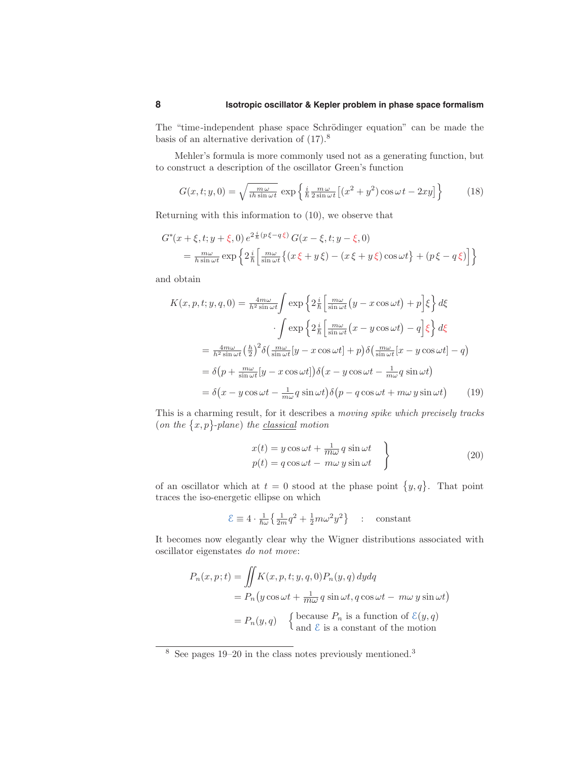The "time-independent phase space Schrödinger equation" can be made the basis of an alternative derivation of (17).<sup>8</sup>

Mehler's formula is more commonly used not as a generating function, but to construct a description of the oscillator Green's function

$$
G(x, t; y, 0) = \sqrt{\frac{m\omega}{ih\sin\omega t}} \exp\left\{\frac{i}{\hbar} \frac{m\omega}{2\sin\omega t} \left[ (x^2 + y^2) \cos\omega t - 2xy \right] \right\}
$$
(18)

Returning with this information to (10), we observe that

$$
G^*(x+\xi, t; y+\xi, 0) e^{2\frac{i}{\hbar}(p\xi-q\xi)} G(x-\xi, t; y-\xi, 0)
$$
  
= 
$$
\frac{m\omega}{h \sin \omega t} \exp \left\{ 2\frac{i}{\hbar} \left[ \frac{m\omega}{\sin \omega t} \{ (x\xi+y\xi) - (x\xi+y\xi) \cos \omega t \} + (p\xi-q\xi) \right] \right\}
$$

and obtain

$$
K(x, p, t; y, q, 0) = \frac{4m\omega}{h^2 \sin \omega t} \int \exp \left\{ 2\frac{i}{\hbar} \left[ \frac{m\omega}{\sin \omega t} \left( y - x \cos \omega t \right) + p \right] \xi \right\} d\xi
$$

$$
\cdot \int \exp \left\{ 2\frac{i}{\hbar} \left[ \frac{m\omega}{\sin \omega t} \left( x - y \cos \omega t \right) - q \right] \xi \right\} d\xi
$$

$$
= \frac{4m\omega}{h^2 \sin \omega t} \left( \frac{h}{2} \right)^2 \delta \left( \frac{m\omega}{\sin \omega t} [y - x \cos \omega t] + p \right) \delta \left( \frac{m\omega}{\sin \omega t} [x - y \cos \omega t] - q \right)
$$

$$
= \delta \left( p + \frac{m\omega}{\sin \omega t} [y - x \cos \omega t] \right) \delta \left( x - y \cos \omega t - \frac{1}{m\omega} q \sin \omega t \right)
$$

$$
= \delta \left( x - y \cos \omega t - \frac{1}{m\omega} q \sin \omega t \right) \delta \left( p - q \cos \omega t + m\omega y \sin \omega t \right) \tag{19}
$$

This is a charming result, for it describes a moving spike which precisely tracks (on the  $\{x, p\}$ -plane) the classical motion

$$
x(t) = y \cos \omega t + \frac{1}{m\omega} q \sin \omega t
$$
  
\n
$$
p(t) = q \cos \omega t - m\omega y \sin \omega t
$$
 (20)

of an oscillator which at  $t = 0$  stood at the phase point  $\{y, q\}$ . That point traces the iso-energetic ellipse on which

$$
\mathcal{E} \equiv 4 \cdot \frac{1}{\hbar \omega} \left\{ \frac{1}{2m} q^2 + \frac{1}{2} m \omega^2 y^2 \right\} \quad : \quad \text{constant}
$$

It becomes now elegantly clear why the Wigner distributions associated with oscillator eigenstates do not move:

$$
P_n(x, p; t) = \iint K(x, p, t; y, q, 0) P_n(y, q) dy dq
$$
  
=  $P_n(y \cos \omega t + \frac{1}{m\omega} q \sin \omega t, q \cos \omega t - m\omega y \sin \omega t)$   
=  $P_n(y, q)$  {because  $P_n$  is a function of  $\mathcal{E}(y, q)$   
and  $\mathcal{E}$  is a constant of the motion

 $8$  See pages 19–20 in the class notes previously mentioned.<sup>3</sup>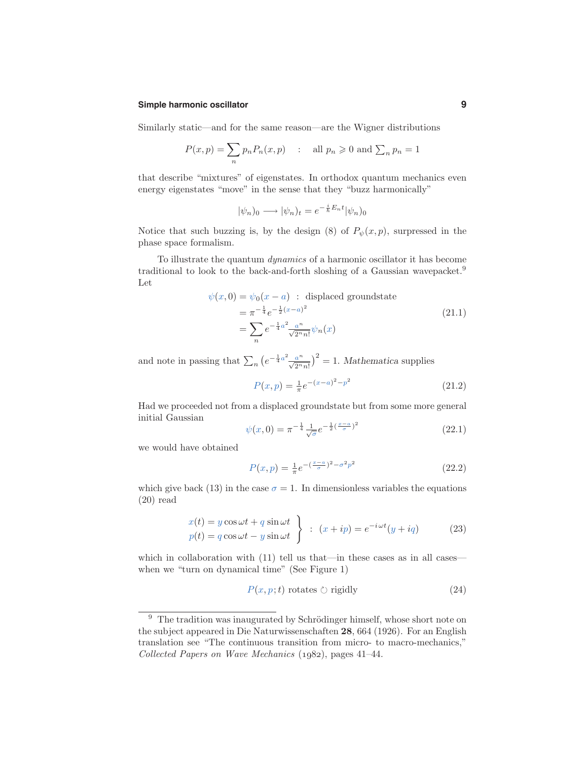#### **Simple harmonic oscillator 9**

Similarly static—and for the same reason—are the Wigner distributions

$$
P(x, p) = \sum_{n} p_n P_n(x, p) \quad : \quad \text{all } p_n \geqslant 0 \text{ and } \sum_{n} p_n = 1
$$

that describe "mixtures" of eigenstates. In orthodox quantum mechanics even energy eigenstates "move" in the sense that they "buzz harmonically"

$$
|\psi_n)_0 \longrightarrow |\psi_n)_t = e^{-\frac{i}{\hbar}E_n t} |\psi_n)_0
$$

Notice that such buzzing is, by the design (8) of  $P_{\psi}(x, p)$ , surpressed in the phase space formalism.

To illustrate the quantum dynamics of a harmonic oscillator it has become traditional to look to the back-and-forth sloshing of a Gaussian wavepacket.<sup>9</sup> Let

$$
\psi(x,0) = \psi_0(x-a) : \text{ displaced groundstate}
$$
  
=  $\pi^{-\frac{1}{4}} e^{-\frac{1}{2}(x-a)^2}$   
=  $\sum_n e^{-\frac{1}{4}a^2} \frac{a^n}{\sqrt{2^n n!}} \psi_n(x)$  (21.1)

and note in passing that  $\sum_{n} (e^{-\frac{1}{4}a^2} \frac{a^n}{\sqrt{2^n n!}})^2 = 1$ . Mathematica supplies

$$
P(x,p) = \frac{1}{\pi}e^{-(x-a)^2 - p^2}
$$
\n(21.2)

Had we proceeded not from a displaced groundstate but from some more general initial Gaussian

$$
\psi(x,0) = \pi^{-\frac{1}{4}} \frac{1}{\sqrt{\sigma}} e^{-\frac{1}{2}(\frac{x-a}{\sigma})^2}
$$
\n(22.1)

we would have obtained

$$
P(x,p) = \frac{1}{\pi}e^{-\left(\frac{x-a}{\sigma}\right)^2 - \sigma^2 p^2}
$$
\n(22.2)

which give back (13) in the case  $\sigma = 1$ . In dimensionless variables the equations (20) read

$$
x(t) = y \cos \omega t + q \sin \omega t
$$
  
\n
$$
p(t) = q \cos \omega t - y \sin \omega t
$$
 \n
$$
\left.\begin{array}{l}\n\end{array}\right\} : (x + ip) = e^{-i\omega t}(y + iq) \tag{23}
$$

which in collaboration with  $(11)$  tell us that—in these cases as in all cases when we "turn on dynamical time" (See Figure 1)

$$
P(x, p; t) \text{ rotates } \circlearrowright \text{ rigidly} \tag{24}
$$

 $9$  The tradition was inaugurated by Schrödinger himself, whose short note on the subject appeared in Die Naturwissenschaften 28, 664 (1926). For an English translation see "The continuous transition from micro- to macro-mechanics," Collected Papers on Wave Mechanics  $(1982)$ , pages 41–44.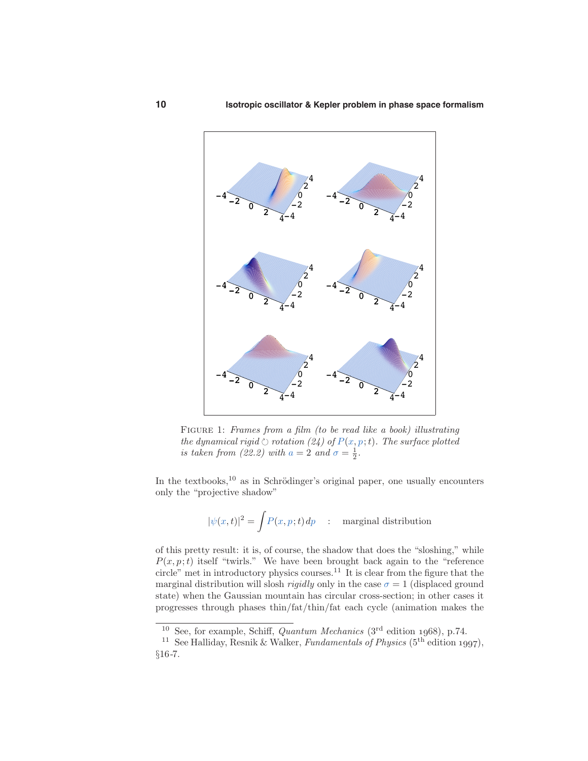

FIGURE 1: Frames from a film (to be read like a book) illustrating the dynamical rigid  $\circlearrowright$  rotation (24) of  $P(x, p; t)$ . The surface plotted is taken from (22.2) with  $a = 2$  and  $\sigma = \frac{1}{2}$ .

In the textbooks, $^{10}$  as in Schrödinger's original paper, one usually encounters only the "projective shadow"

$$
|\psi(x,t)|^2 = \int P(x,p;t) \, dp \quad : \quad \text{marginal distribution}
$$

of this pretty result: it is, of course, the shadow that does the "sloshing," while  $P(x, p; t)$  itself "twirls." We have been brought back again to the "reference" circle" met in introductory physics courses.<sup>11</sup> It is clear from the figure that the marginal distribution will slosh *rigidly* only in the case  $\sigma = 1$  (displaced ground state) when the Gaussian mountain has circular cross-section; in other cases it progresses through phases thin/fat/thin/fat each cycle (animation makes the

<sup>&</sup>lt;sup>10</sup> See, for example, Schiff, *Quantum Mechanics* ( $3<sup>rd</sup>$  edition 1968), p.74.

<sup>&</sup>lt;sup>11</sup> See Halliday, Resnik & Walker, *Fundamentals of Physics* (5<sup>th</sup> edition 1997), §16-7.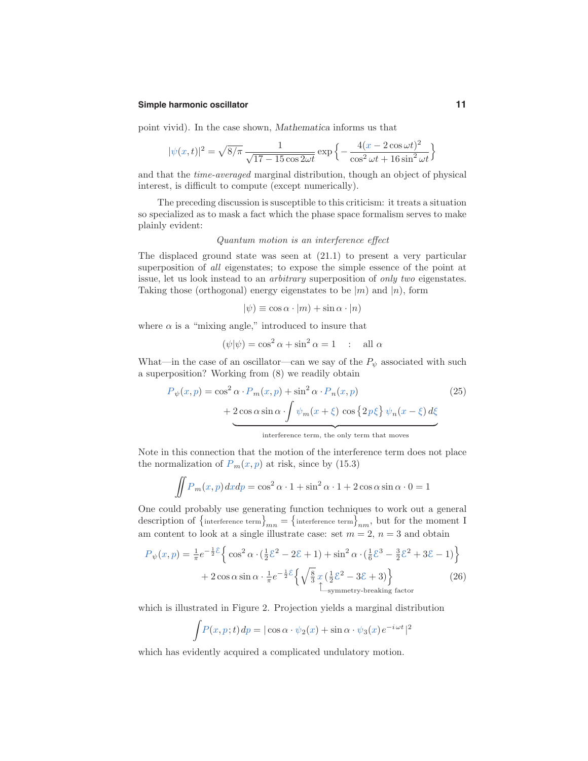#### **Simple harmonic oscillator 11**

point vivid). In the case shown, Mathematica informs us that

$$
|\psi(x,t)|^2 = \sqrt{8/\pi} \frac{1}{\sqrt{17 - 15\cos 2\omega t}} \exp\left\{-\frac{4(x - 2\cos \omega t)^2}{\cos^2 \omega t + 16\sin^2 \omega t}\right\}
$$

and that the time-averaged marginal distribution, though an object of physical interest, is difficult to compute (except numerically).

The preceding discussion is susceptible to this criticism: it treats a situation so specialized as to mask a fact which the phase space formalism serves to make plainly evident:

### Quantum motion is an interference effect

The displaced ground state was seen at (21.1) to present a very particular superposition of all eigenstates; to expose the simple essence of the point at issue, let us look instead to an arbitrary superposition of only two eigenstates. Taking those (orthogonal) energy eigenstates to be  $|m\rangle$  and  $|n\rangle$ , form

$$
|\psi) \equiv \cos \alpha \cdot |m\rangle + \sin \alpha \cdot |n\rangle
$$

where  $\alpha$  is a "mixing angle," introduced to insure that

$$
(\psi|\psi) = \cos^2 \alpha + \sin^2 \alpha = 1 \quad : \quad \text{all } \alpha
$$

What—in the case of an oscillator—can we say of the  $P_{\psi}$  associated with such a superposition? Working from (8) we readily obtain

$$
P_{\psi}(x, p) = \cos^2 \alpha \cdot P_m(x, p) + \sin^2 \alpha \cdot P_n(x, p)
$$
\n
$$
+ 2 \cos \alpha \sin \alpha \cdot \int \psi_m(x + \xi) \cos \{2p\xi\} \psi_n(x - \xi) d\xi
$$
\n(25)

 $\overbrace{\hspace{2.5cm}}^{\text{interference term, the only term that moves}}$ 

Note in this connection that the motion of the interference term does not place the normalization of  $P_m(x, p)$  at risk, since by (15.3)

$$
\iint P_m(x, p) dx dp = \cos^2 \alpha \cdot 1 + \sin^2 \alpha \cdot 1 + 2 \cos \alpha \sin \alpha \cdot 0 = 1
$$

One could probably use generating function techniques to work out a general description of  $\{$  interference term $\}_{mn} = \{$  interference term $\}_{nm}$ , but for the moment I am content to look at a single illustrate case: set  $m = 2$ ,  $n = 3$  and obtain

$$
P_{\psi}(x,p) = \frac{1}{\pi}e^{-\frac{1}{2}\xi}\left\{\cos^2\alpha \cdot \left(\frac{1}{2}\xi^2 - 2\xi + 1\right) + \sin^2\alpha \cdot \left(\frac{1}{6}\xi^3 - \frac{3}{2}\xi^2 + 3\xi - 1\right)\right\}
$$
  
+ 
$$
2\cos\alpha\sin\alpha \cdot \frac{1}{\pi}e^{-\frac{1}{2}\xi}\left\{\sqrt{\frac{8}{3}}x\left(\frac{1}{2}\xi^2 - 3\xi + 3\right)\right\}
$$
 (26)  
Lyymmetry-breaking factor

which is illustrated in Figure 2. Projection yields a marginal distribution

$$
\int P(x, p; t) dp = |\cos \alpha \cdot \psi_2(x) + \sin \alpha \cdot \psi_3(x) e^{-i\omega t}|^2
$$

which has evidently acquired a complicated undulatory motion.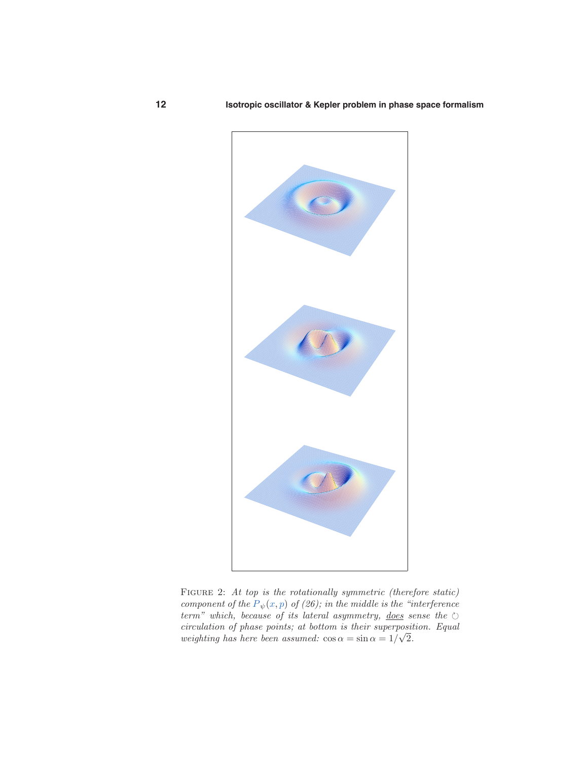

FIGURE 2: At top is the rotationally symmetric (therefore static) component of the  $P_{\psi}(x, p)$  of (26); in the middle is the "interference" term" which, because of its lateral asymmetry, does sense the  $\circlearrowright$ circulation of phase points; at bottom is their superposition. Equal weighting has here been assumed:  $\cos \alpha = \sin \alpha = 1/\sqrt{2}$ .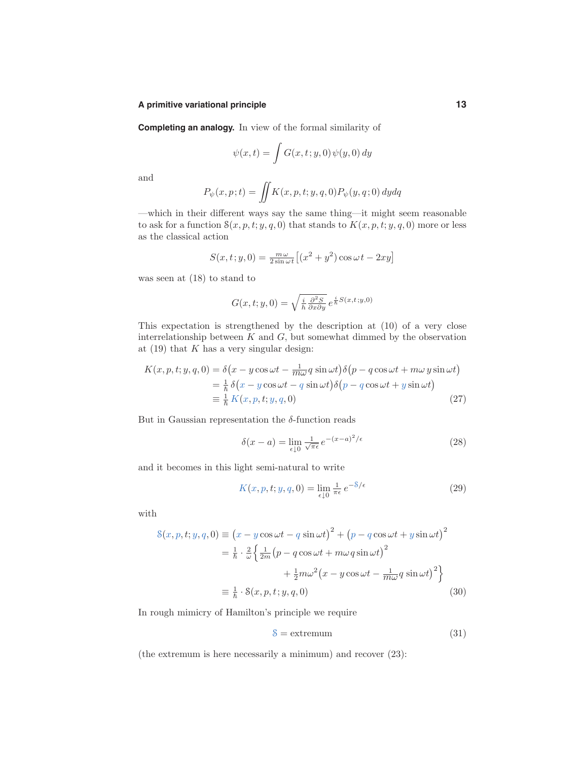#### **A primitive variational principle 13**

**Completing an analogy.** In view of the formal similarity of

$$
\psi(x,t)=\int G(x,t\,;y,0)\,\psi(y,0)\,dy
$$

and

$$
P_{\psi}(x,p;t) = \iint K(x,p,t;y,q,0) P_{\psi}(y,q;0) dydq
$$

—which in their different ways say the same thing—it might seem reasonable to ask for a function  $S(x, p, t; y, q, 0)$  that stands to  $K(x, p, t; y, q, 0)$  more or less as the classical action

$$
S(x, t; y, 0) = \frac{m\omega}{2\sin\omega t} \left[ (x^2 + y^2) \cos\omega t - 2xy \right]
$$

was seen at (18) to stand to

$$
G(x, t; y, 0) = \sqrt{\frac{i}{\hbar} \frac{\partial^2 S}{\partial x \partial y}} e^{\frac{i}{\hbar} S(x, t; y, 0)}
$$

This expectation is strengthened by the description at (10) of a very close interrelationship between  $K$  and  $G$ , but somewhat dimmed by the observation at  $(19)$  that K has a very singular design:

$$
K(x, p, t; y, q, 0) = \delta(x - y \cos \omega t - \frac{1}{m\omega} q \sin \omega t) \delta(p - q \cos \omega t + m\omega y \sin \omega t)
$$
  
=  $\frac{1}{\hbar} \delta(x - y \cos \omega t - q \sin \omega t) \delta(p - q \cos \omega t + y \sin \omega t)$   
=  $\frac{1}{\hbar} K(x, p, t; y, q, 0)$  (27)

But in Gaussian representation the  $\delta$ -function reads

$$
\delta(x - a) = \lim_{\epsilon \downarrow 0} \frac{1}{\sqrt{\pi \epsilon}} e^{-(x - a)^2/\epsilon}
$$
\n(28)

and it becomes in this light semi-natural to write

$$
K(x, p, t; y, q, 0) = \lim_{\epsilon \downarrow 0} \frac{1}{\pi \epsilon} e^{-8/\epsilon}
$$
 (29)

with

$$
S(x, p, t; y, q, 0) \equiv (x - y \cos \omega t - q \sin \omega t)^2 + (p - q \cos \omega t + y \sin \omega t)^2
$$
  

$$
= \frac{1}{\hbar} \cdot \frac{2}{\omega} \left\{ \frac{1}{2m} (p - q \cos \omega t + m \omega q \sin \omega t)^2 + \frac{1}{2} m \omega^2 (x - y \cos \omega t - \frac{1}{m \omega} q \sin \omega t)^2 \right\}
$$
  

$$
\equiv \frac{1}{\hbar} \cdot S(x, p, t; y, q, 0)
$$
(30)

In rough mimicry of Hamilton's principle we require

$$
\mathcal{S} = \text{extremum} \tag{31}
$$

(the extremum is here necessarily a minimum) and recover (23):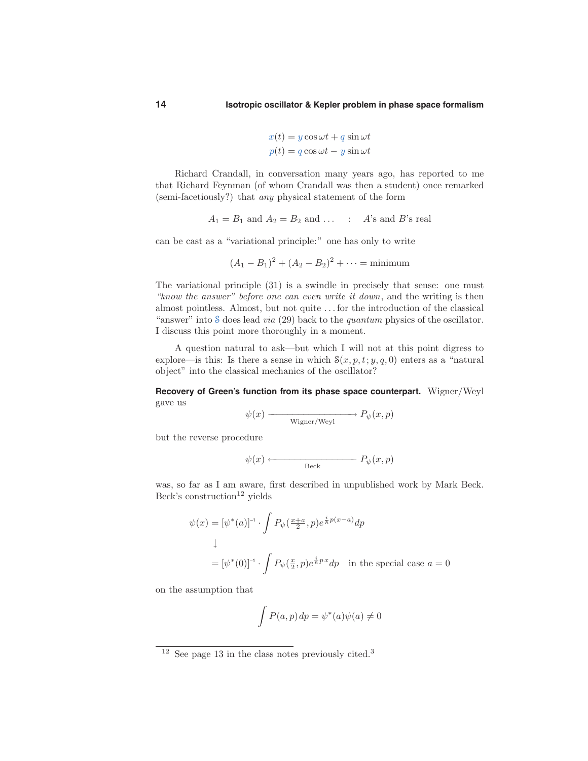$$
x(t) = y \cos \omega t + q \sin \omega t
$$

$$
p(t) = q \cos \omega t - y \sin \omega t
$$

Richard Crandall, in conversation many years ago, has reported to me that Richard Feynman (of whom Crandall was then a student) once remarked (semi-facetiously?) that any physical statement of the form

$$
A_1 = B_1
$$
 and  $A_2 = B_2$  and ... :  $A$ 's and  $B$ 's real

can be cast as a "variational principle:" one has only to write

$$
(A_1 - B_1)^2 + (A_2 - B_2)^2 + \dots = \text{minimum}
$$

The variational principle (31) is a swindle in precisely that sense: one must "know the answer" before one can even write it down, and the writing is then almost pointless. Almost, but not quite . . . for the introduction of the classical "answer" into  $\delta$  does lead *via* (29) back to the *quantum* physics of the oscillator. I discuss this point more thoroughly in a moment.

A question natural to ask—but which I will not at this point digress to explore—is this: Is there a sense in which  $\mathcal{S}(x, p, t; y, q, 0)$  enters as a "natural object" into the classical mechanics of the oscillator?

**Recovery of Green's function from its phase space counterpart.** Wigner/Weyl gave us

$$
\psi(x) \longrightarrow P_{\psi}(x, p)
$$
  
Wigner/Weyl

but the reverse procedure

$$
\psi(x) \longleftarrow \qquad \qquad P_{\psi}(x, p)
$$

was, so far as I am aware, first described in unpublished work by Mark Beck. Beck's construction<sup>12</sup> yields

$$
\psi(x) = [\psi^*(a)]^{-1} \cdot \int P_{\psi}(\frac{x+a}{2}, p) e^{\frac{i}{\hbar}p(x-a)} dp
$$
  
\n
$$
\downarrow
$$
  
\n
$$
= [\psi^*(0)]^{-1} \cdot \int P_{\psi}(\frac{x}{2}, p) e^{\frac{i}{\hbar}p x} dp \text{ in the special case } a = 0
$$

on the assumption that

$$
\int P(a, p) dp = \psi^*(a)\psi(a) \neq 0
$$

 $12$  See page 13 in the class notes previously cited.<sup>3</sup>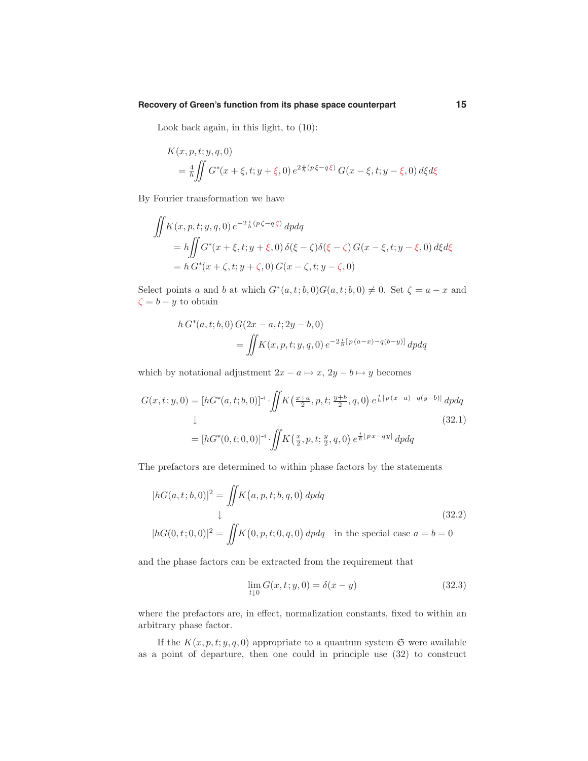#### **Recovery of Green's function from its phase space counterpart 15**

Look back again, in this light, to (10):

$$
K(x, p, t; y, q, 0)
$$
  
=  $\frac{4}{\hbar} \iint G^*(x + \xi, t; y + \xi, 0) e^{2\frac{i}{\hbar}(p\xi - q\xi)} G(x - \xi, t; y - \xi, 0) d\xi d\xi$ 

By Fourier transformation we have

$$
\iint K(x, p, t; y, q, 0) e^{-2\frac{i}{\hbar}(p\zeta - q\zeta)} dp dq
$$
\n
$$
= h \iint G^*(x + \xi, t; y + \xi, 0) \delta(\xi - \zeta) \delta(\xi - \zeta) G(x - \xi, t; y - \xi, 0) d\xi d\xi
$$
\n
$$
= h G^*(x + \zeta, t; y + \zeta, 0) G(x - \zeta, t; y - \zeta, 0)
$$

Select points a and b at which  $G^*(a,t; b,0)G(a,t; b,0) \neq 0$ . Set  $\zeta = a - x$  and  $\zeta = b - y$  to obtain

$$
h G^{*}(a, t; b, 0) G(2x - a, t; 2y - b, 0)
$$
  
= 
$$
\iint K(x, p, t; y, q, 0) e^{-2\frac{i}{\hbar}[p(a-x)-q(b-y)]} dp dq
$$

which by notational adjustment  $2x - a \mapsto x$ ,  $2y - b \mapsto y$  becomes

$$
G(x, t; y, 0) = [hG^*(a, t; b, 0)]^{-1} \cdot \iint K(\frac{x+a}{2}, p, t; \frac{y+b}{2}, q, 0) e^{\frac{i}{\hbar}[p(x-a)-q(y-b)]} dp dq
$$
  
\n
$$
\downarrow
$$
\n
$$
(32.1)
$$
\n
$$
= [hG^*(0, t; 0, 0)]^{-1} \cdot \iint K(\frac{x}{2}, p, t; \frac{y}{2}, q, 0) e^{\frac{i}{\hbar}[px-qy]} dp dq
$$

The prefactors are determined to within phase factors by the statements

$$
|hG(a, t; b, 0)|^2 = \iint K(a, p, t; b, q, 0) dp dq
$$
  
\n
$$
\downarrow
$$
  
\n
$$
|hG(0, t; 0, 0)|^2 = \iint K(0, p, t; 0, q, 0) dp dq \text{ in the special case } a = b = 0
$$
\n(32.2)

and the phase factors can be extracted from the requirement that

$$
\lim_{t \downarrow 0} G(x, t; y, 0) = \delta(x - y)
$$
\n(32.3)

where the prefactors are, in effect, normalization constants, fixed to within an arbitrary phase factor.

If the  $K(x, p, t; y, q, 0)$  appropriate to a quantum system  $\mathfrak{S}$  were available as a point of departure, then one could in principle use (32) to construct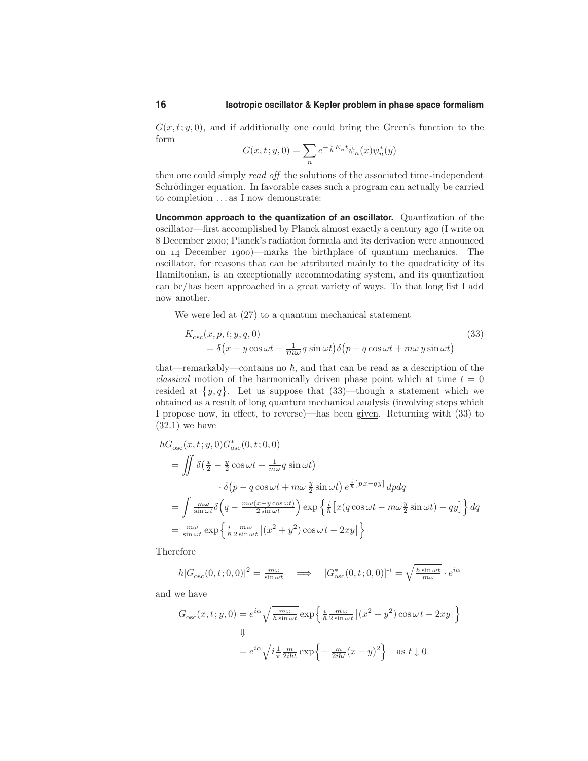$G(x,t; y, 0)$ , and if additionally one could bring the Green's function to the form

$$
G(x,t;y,0)=\sum_n e^{-\frac{i}{\hbar}E_n t}\psi_n(x)\psi_n^*(y)
$$

then one could simply read off the solutions of the associated time-independent Schrödinger equation. In favorable cases such a program can actually be carried to completion . . . as I now demonstrate:

**Uncommon approach to the quantization of an oscillator.** Quantization of the oscillator—first accomplished by Planck almost exactly a century ago (I write on 8 December 2000; Planck's radiation formula and its derivation were announced on 14 December 1900)—marks the birthplace of quantum mechanics. The oscillator, for reasons that can be attributed mainly to the quadraticity of its Hamiltonian, is an exceptionally accommodating system, and its quantization can be/has been approached in a great variety of ways. To that long list I add now another.

We were led at (27) to a quantum mechanical statement

$$
K_{\rm osc}(x, p, t; y, q, 0)
$$
  
=  $\delta(x - y \cos \omega t - \frac{1}{m\omega} q \sin \omega t) \delta(p - q \cos \omega t + m\omega y \sin \omega t)$  (33)

that—remarkably—contains no  $\hbar$ , and that can be read as a description of the *classical* motion of the harmonically driven phase point which at time  $t = 0$ resided at  $\{y, q\}$ . Let us suppose that (33)—though a statement which we obtained as a result of long quantum mechanical analysis (involving steps which I propose now, in effect, to reverse)—has been given. Returning with (33) to  $(32.1)$  we have

$$
hG_{\rm osc}(x, t; y, 0)G_{\rm osc}^{*}(0, t; 0, 0)
$$
  
= 
$$
\iint \delta\left(\frac{x}{2} - \frac{y}{2}\cos\omega t - \frac{1}{m\omega}q\sin\omega t\right)
$$

$$
\cdot \delta\left(p - q\cos\omega t + m\omega\frac{y}{2}\sin\omega t\right)e^{\frac{i}{\hbar}\left[px - qy\right]}\,dpdq
$$
  
= 
$$
\int \frac{m\omega}{\sin\omega t}\delta\left(q - \frac{m\omega(x - y\cos\omega t)}{2\sin\omega t}\right)\exp\left\{\frac{i}{\hbar}\left[x(q\cos\omega t - m\omega\frac{y}{2}\sin\omega t) - qy\right]\right\}dq
$$
  
= 
$$
\frac{m\omega}{\sin\omega t}\exp\left\{\frac{i}{\hbar}\frac{m\omega}{2\sin\omega t}\left[(x^2 + y^2)\cos\omega t - 2xy\right]\right\}
$$

Therefore

$$
h|G_{\rm osc}(0,t;0,0)|^2 = \frac{m\omega}{\sin\omega t} \quad \Longrightarrow \quad [G_{\rm osc}^*(0,t;0,0)]^{-1} = \sqrt{\frac{h\sin\omega t}{m\omega}} \cdot e^{i\alpha}
$$

and we have

$$
G_{\rm osc}(x, t; y, 0) = e^{i\alpha} \sqrt{\frac{m\omega}{h \sin \omega t}} \exp\left\{\frac{i}{\hbar} \frac{m\omega}{2 \sin \omega t} \left[ (x^2 + y^2) \cos \omega t - 2xy \right] \right\}
$$
  

$$
\Downarrow
$$
  

$$
= e^{i\alpha} \sqrt{i \frac{1}{\pi} \frac{m}{2i\hbar t}} \exp\left\{-\frac{m}{2i\hbar t} (x - y)^2\right\} \text{ as } t \downarrow 0
$$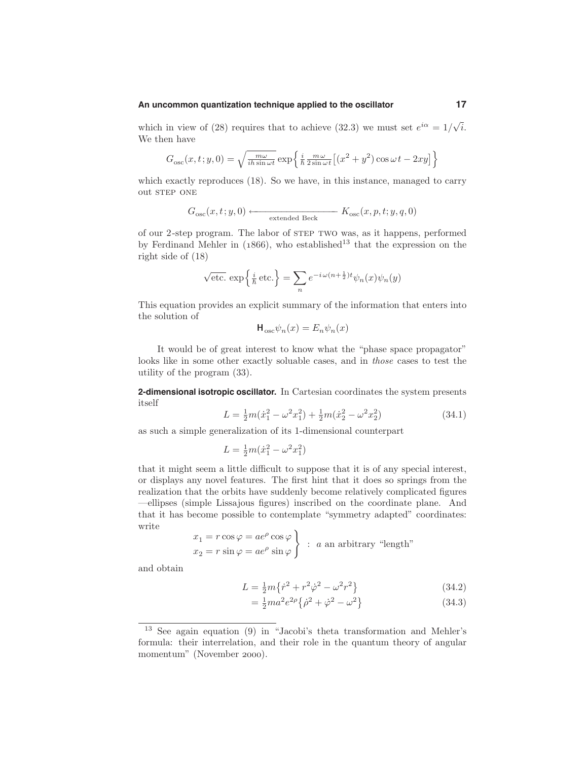#### **An uncommon quantization technique applied to the oscillator 17**

which in view of (28) requires that to achieve (32.3) we must set  $e^{i\alpha} = 1/\sqrt{i}$ . We then have

$$
G_{\rm osc}(x,t;y,0) = \sqrt{\frac{m\omega}{ih\sin\omega t}} \exp\left\{\frac{i}{\hbar} \frac{m\omega}{2\sin\omega t} \left[ (x^2 + y^2) \cos\omega t - 2xy \right] \right\}
$$

which exactly reproduces (18). So we have, in this instance, managed to carry out STEP ONE

$$
G_{\mathrm{osc}}(x,t;y,0)\longleftarrow{}\underbrace{K_{\mathrm{osc}}(x,p,t;y,q,0)}_{\mathrm{extended~Beck}}
$$

of our 2-step program. The labor of step two was, as it happens, performed by Ferdinand Mehler in  $(1866)$ , who established<sup>13</sup> that the expression on the right side of (18)

$$
\sqrt{\text{etc.}} \exp\left\{\frac{i}{\hbar}\text{etc.}\right\} = \sum_{n} e^{-i\omega(n+\frac{1}{2})t} \psi_n(x)\psi_n(y)
$$

This equation provides an explicit summary of the information that enters into the solution of

$$
\mathbf{H}_{\mathrm{osc}}\psi_n(x) = E_n\psi_n(x)
$$

It would be of great interest to know what the "phase space propagator" looks like in some other exactly soluable cases, and in those cases to test the utility of the program (33).

**2-dimensional isotropic oscillator.** In Cartesian coordinates the system presents itself

$$
L = \frac{1}{2}m(\dot{x}_1^2 - \omega^2 x_1^2) + \frac{1}{2}m(\dot{x}_2^2 - \omega^2 x_2^2)
$$
 (34.1)

as such a simple generalization of its 1-dimensional counterpart

$$
L = \frac{1}{2}m(\dot{x}_1^2 - \omega^2 x_1^2)
$$

that it might seem a little difficult to suppose that it is of any special interest, or displays any novel features. The first hint that it does so springs from the realization that the orbits have suddenly become relatively complicated figures —ellipses (simple Lissajous figures) inscribed on the coordinate plane. And that it has become possible to contemplate "symmetry adapted" coordinates: write

$$
x_1 = r \cos \varphi = ae^{\rho} \cos \varphi
$$
  

$$
x_2 = r \sin \varphi = ae^{\rho} \sin \varphi
$$
 : *a* an arbitrary "length"

and obtain

$$
L = \frac{1}{2}m\{\dot{r}^2 + r^2\dot{\varphi}^2 - \omega^2r^2\}
$$
 (34.2)

$$
= \frac{1}{2}ma^2e^{2\rho}\{\dot{\rho}^2 + \dot{\varphi}^2 - \omega^2\}
$$
 (34.3)

<sup>13</sup> See again equation (9) in "Jacobi's theta transformation and Mehler's formula: their interrelation, and their role in the quantum theory of angular momentum" (November 2000).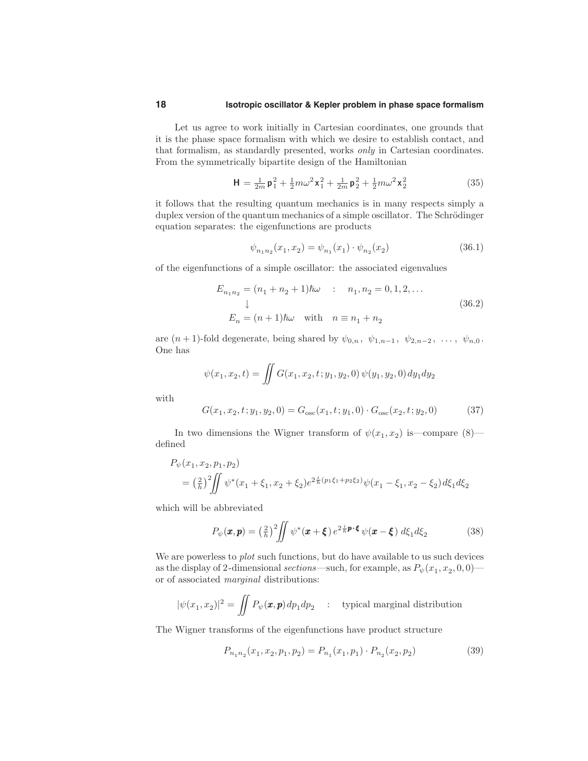#### **18 Isotropic oscillator & Kepler problem in phase space formalism**

Let us agree to work initially in Cartesian coordinates, one grounds that it is the phase space formalism with which we desire to establish contact, and that formalism, as standardly presented, works only in Cartesian coordinates. From the symmetrically bipartite design of the Hamiltonian

$$
\mathbf{H} = \frac{1}{2m} \mathbf{p}_1^2 + \frac{1}{2} m \omega^2 \mathbf{x}_1^2 + \frac{1}{2m} \mathbf{p}_2^2 + \frac{1}{2} m \omega^2 \mathbf{x}_2^2 \tag{35}
$$

it follows that the resulting quantum mechanics is in many respects simply a duplex version of the quantum mechanics of a simple oscillator. The Schrödinger equation separates: the eigenfunctions are products

$$
\psi_{n_1 n_2}(x_1, x_2) = \psi_{n_1}(x_1) \cdot \psi_{n_2}(x_2)
$$
\n(36.1)

of the eigenfunctions of a simple oscillator: the associated eigenvalues

$$
E_{n_1 n_2} = (n_1 + n_2 + 1)\hbar\omega \qquad : \qquad n_1, n_2 = 0, 1, 2, \dots
$$
  
\n
$$
\downarrow
$$
  
\n
$$
E_n = (n+1)\hbar\omega \quad \text{with} \quad n \equiv n_1 + n_2
$$
 (36.2)

are  $(n+1)$ -fold degenerate, being shared by  $\psi_{0,n}$ ,  $\psi_{1,n-1}$ ,  $\psi_{2,n-2}$ , ...,  $\psi_{n,0}$ . One has

$$
\psi(x_1, x_2, t) = \iint G(x_1, x_2, t; y_1, y_2, 0) \psi(y_1, y_2, 0) dy_1 dy_2
$$
  

$$
G(x_1, x_2, t; y_1, y_2, 0) = G_{\text{osc}}(x_1, t; y_1, 0) \cdot G_{\text{osc}}(x_2, t; y_2, 0)
$$
(37)

with

In two dimensions the Wigner transform of 
$$
\psi(x_1, x_2)
$$
 is—compare (8)—

defined 
$$
P_{\lambda}(x) = \lambda \left(1 - \frac{1}{2}\right)
$$

$$
P_{\psi}(x_1, x_2, p_1, p_2)
$$
  
=  $\left(\frac{2}{h}\right)^2 \iint \psi^*(x_1 + \xi_1, x_2 + \xi_2) e^{2\frac{i}{h}(p_1\xi_1 + p_2\xi_2)} \psi(x_1 - \xi_1, x_2 - \xi_2) d\xi_1 d\xi_2$ 

which will be abbreviated

$$
P_{\psi}(\boldsymbol{x},\boldsymbol{p}) = \left(\frac{2}{\hbar}\right)^2 \iint \psi^*(\boldsymbol{x} + \boldsymbol{\xi}) e^{2\frac{i}{\hbar}\boldsymbol{p}\cdot\boldsymbol{\xi}} \psi(\boldsymbol{x} - \boldsymbol{\xi}) d\xi_1 d\xi_2 \tag{38}
$$

We are powerless to *plot* such functions, but do have available to us such devices as the display of 2-dimensional sections—such, for example, as  $P_{\psi}(x_1, x_2, 0, 0)$  or of associated marginal distributions:

$$
|\psi(x_1, x_2)|^2 = \iint P_{\psi}(\mathbf{x}, \mathbf{p}) dp_1 dp_2 \quad : \quad \text{typical marginal distribution}
$$

The Wigner transforms of the eigenfunctions have product structure

$$
P_{n_1 n_2}(x_1, x_2, p_1, p_2) = P_{n_1}(x_1, p_1) \cdot P_{n_2}(x_2, p_2)
$$
\n(39)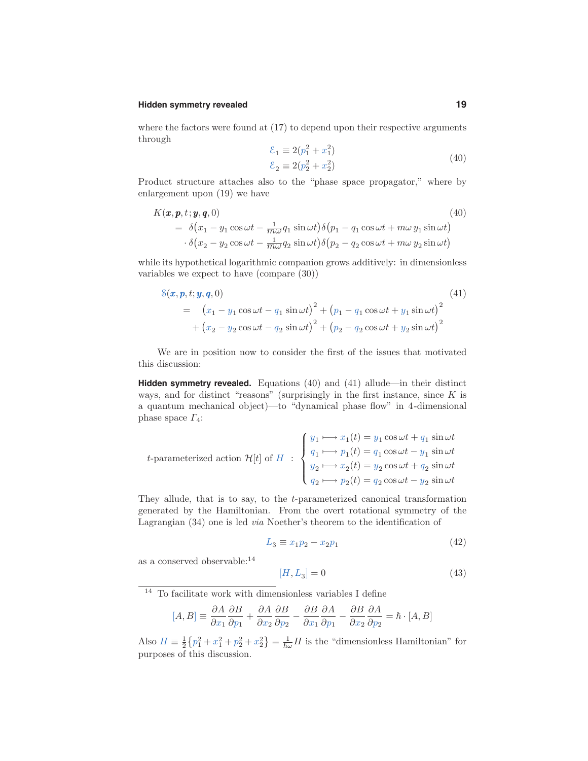#### **Hidden symmetry revealed 19**

where the factors were found at  $(17)$  to depend upon their respective arguments through

$$
\begin{aligned} \n\mathcal{E}_1 &\equiv 2(p_1^2 + x_1^2) \\ \n\mathcal{E}_2 &\equiv 2(p_2^2 + x_2^2) \n\end{aligned} \tag{40}
$$

Product structure attaches also to the "phase space propagator," where by enlargement upon (19) we have

$$
K(\boldsymbol{x}, \boldsymbol{p}, t; \boldsymbol{y}, \boldsymbol{q}, 0) \tag{40}
$$
\n
$$
= \delta(x_1 - y_1 \cos \omega t - \frac{1}{m\omega} q_1 \sin \omega t) \delta(p_1 - q_1 \cos \omega t + m\omega y_1 \sin \omega t) \cdot \delta(x_2 - y_2 \cos \omega t - \frac{1}{m\omega} q_2 \sin \omega t) \delta(p_2 - q_2 \cos \omega t + m\omega y_2 \sin \omega t)
$$

while its hypothetical logarithmic companion grows additively: in dimensionless variables we expect to have (compare (30))

$$
8(\mathbf{x}, \mathbf{p}, t; \mathbf{y}, \mathbf{q}, 0) \tag{41}
$$
\n
$$
= (x_1 - y_1 \cos \omega t - q_1 \sin \omega t)^2 + (p_1 - q_1 \cos \omega t + y_1 \sin \omega t)^2 + (x_2 - y_2 \cos \omega t - q_2 \sin \omega t)^2 + (p_2 - q_2 \cos \omega t + y_2 \sin \omega t)^2
$$

We are in position now to consider the first of the issues that motivated this discussion:

**Hidden symmetry revealed.** Equations (40) and (41) allude—in their distinct ways, and for distinct "reasons" (surprisingly in the first instance, since  $K$  is a quantum mechanical object)—to "dynamical phase flow" in 4-dimensional phase space  $\Gamma_4$ :

$$
t\text{-parameterized action } \mathcal{H}[t] \text{ of } H \; : \; \begin{cases} \, y_1 \longmapsto x_1(t) = y_1 \cos \omega t + q_1 \, \sin \omega t \\ \, q_1 \longmapsto p_1(t) = q_1 \cos \omega t - y_1 \, \sin \omega t \\ \, y_2 \longmapsto x_2(t) = y_2 \cos \omega t + q_2 \, \sin \omega t \\ \, q_2 \longmapsto p_2(t) = q_2 \cos \omega t - y_2 \, \sin \omega t \end{cases}
$$

They allude, that is to say, to the t-parameterized canonical transformation generated by the Hamiltonian. From the overt rotational symmetry of the Lagrangian (34) one is led via Noether's theorem to the identification of

$$
L_3 \equiv x_1 p_2 - x_2 p_1 \tag{42}
$$

as a conserved observable:  $^{14}$ 

$$
[H, L_3] = 0 \tag{43}
$$

 $^{14}\,$  To facilitate work with dimensionless variables I define

$$
[A,B] \equiv \frac{\partial A}{\partial x_1} \frac{\partial B}{\partial p_1} + \frac{\partial A}{\partial x_2} \frac{\partial B}{\partial p_2} - \frac{\partial B}{\partial x_1} \frac{\partial A}{\partial p_1} - \frac{\partial B}{\partial x_2} \frac{\partial A}{\partial p_2} = \hbar \cdot [A,B]
$$

Also  $H \equiv \frac{1}{2} \{p_1^2 + x_1^2 + p_2^2 + x_2^2\} = \frac{1}{\hbar \omega} H$  is the "dimensionless Hamiltonian" for purposes of this discussion.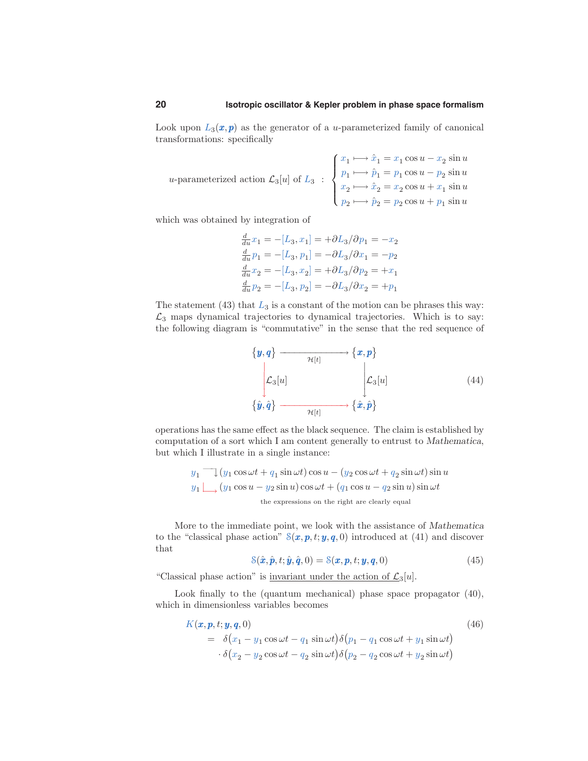Look upon  $L_3(x, p)$  as the generator of a *u*-parameterized family of canonical transformations: specifically

$$
u\text{-parameterized action } \mathcal{L}_3[u] \text{ of } L_3 \; : \; \begin{cases} \, x_1 \longmapsto \hat{x}_1 = x_1 \cos u - x_2 \, \sin u \\ \, p_1 \longmapsto \hat{p}_1 = p_1 \cos u - p_2 \, \sin u \\ \, x_2 \longmapsto \hat{x}_2 = x_2 \cos u + x_1 \, \sin u \\ \, p_2 \longmapsto \hat{p}_2 = p_2 \cos u + p_1 \, \sin u \end{cases}
$$

which was obtained by integration of

$$
\frac{d}{du}x_1 = -[L_3, x_1] = +\partial L_3/\partial p_1 = -x_2
$$
  
\n
$$
\frac{d}{du}p_1 = -[L_3, p_1] = -\partial L_3/\partial x_1 = -p_2
$$
  
\n
$$
\frac{d}{du}x_2 = -[L_3, x_2] = +\partial L_3/\partial p_2 = +x_1
$$
  
\n
$$
\frac{d}{du}p_2 = -[L_3, p_2] = -\partial L_3/\partial x_2 = +p_1
$$

The statement  $(43)$  that  $L_3$  is a constant of the motion can be phrases this way:  $\mathcal{L}_3$  maps dynamical trajectories to dynamical trajectories. Which is to say: the following diagram is "commutative" in the sense that the red sequence of



operations has the same effect as the black sequence. The claim is established by computation of a sort which I am content generally to entrust to Mathematica, but which I illustrate in a single instance:

$$
y_1 \bigcup (y_1 \cos \omega t + q_1 \sin \omega t) \cos u - (y_2 \cos \omega t + q_2 \sin \omega t) \sin u
$$
  

$$
y_1 \bigcup (y_1 \cos u - y_2 \sin u) \cos \omega t + (q_1 \cos u - q_2 \sin u) \sin \omega t
$$
  
the expressions on the right are clearly equal

More to the immediate point, we look with the assistance of Mathematica to the "classical phase action"  $S(x, p, t; y, q, 0)$  introduced at (41) and discover that

$$
\mathcal{S}(\hat{\boldsymbol{x}}, \hat{\boldsymbol{p}}, t; \hat{\boldsymbol{y}}, \hat{\boldsymbol{q}}, 0) = \mathcal{S}(\boldsymbol{x}, \boldsymbol{p}, t; \boldsymbol{y}, \boldsymbol{q}, 0) \tag{45}
$$

"Classical phase action" is <u>invariant under the action of  $\mathcal{L}_3[u]$ </u>.

Look finally to the (quantum mechanical) phase space propagator  $(40)$ , which in dimensionless variables becomes

$$
K(\boldsymbol{x}, \boldsymbol{p}, t; \boldsymbol{y}, \boldsymbol{q}, 0) \tag{46}
$$
  
=  $\delta(x_1 - y_1 \cos \omega t - q_1 \sin \omega t) \delta(p_1 - q_1 \cos \omega t + y_1 \sin \omega t)$   
 $\cdot \delta(x_2 - y_2 \cos \omega t - q_2 \sin \omega t) \delta(p_2 - q_2 \cos \omega t + y_2 \sin \omega t)$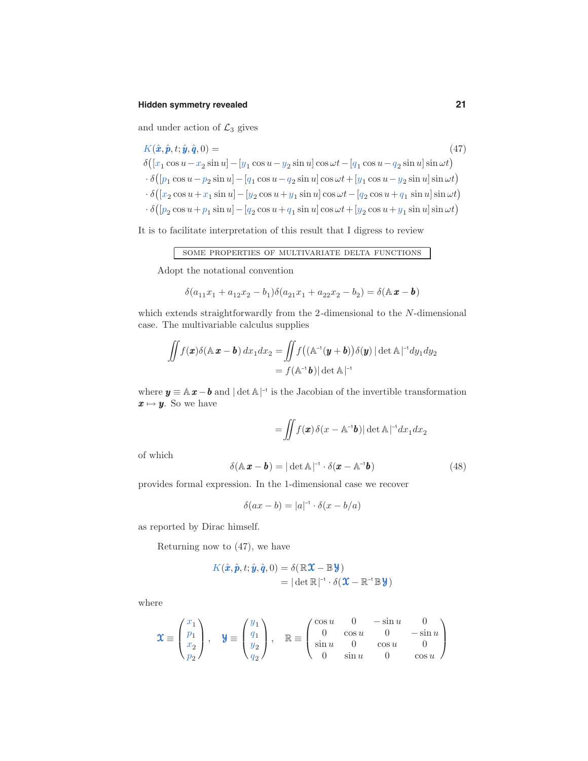# **Hidden symmetry revealed 21**

and under action of  $\mathcal{L}_3$  gives

$$
K(\hat{\boldsymbol{x}}, \hat{\boldsymbol{p}}, t; \hat{\boldsymbol{y}}, \hat{\boldsymbol{q}}, 0) =
$$
\n
$$
\delta([x_1 \cos u - x_2 \sin u] - [y_1 \cos u - y_2 \sin u] \cos \omega t - [q_1 \cos u - q_2 \sin u] \sin \omega t)
$$
\n
$$
\cdot \delta([p_1 \cos u - p_2 \sin u] - [q_1 \cos u - q_2 \sin u] \cos \omega t + [y_1 \cos u - y_2 \sin u] \sin \omega t)
$$
\n
$$
\cdot \delta([x_2 \cos u + x_1 \sin u] - [y_2 \cos u + y_1 \sin u] \cos \omega t - [q_2 \cos u + q_1 \sin u] \sin \omega t)
$$
\n
$$
\cdot \delta([p_2 \cos u + p_1 \sin u] - [q_2 \cos u + q_1 \sin u] \cos \omega t + [y_2 \cos u + y_1 \sin u] \sin \omega t)
$$

It is to facilitate interpretation of this result that I digress to review

some properties of multivariate delta functions

Adopt the notational convention

$$
\delta(a_{11}x_1 + a_{12}x_2 - b_1)\delta(a_{21}x_1 + a_{22}x_2 - b_2) = \delta(\mathbb{A} \mathbf{x} - \mathbf{b})
$$

which extends straightforwardly from the 2-dimensional to the N-dimensional case. The multivariable calculus supplies

$$
\iint f(\mathbf{x})\delta(\mathbb{A}\mathbf{x}-\mathbf{b}) dx_1 dx_2 = \iint f((\mathbb{A}^{-1}(\mathbf{y}+\mathbf{b}))\delta(\mathbf{y}) |\det \mathbb{A}|^{-1} dy_1 dy_2
$$

$$
= f(\mathbb{A}^{-1}\mathbf{b}) |\det \mathbb{A}|^{-1}
$$

where  $y \equiv \mathbb{A} x - b$  and  $|\det \mathbb{A}|^{-1}$  is the Jacobian of the invertible transformation  $x \mapsto y$ . So we have

$$
= \iint f(\pmb{x})\,\delta(x-\mathbb{A}^{\text{-}1}\pmb{b})|\det\mathbb{A}\!\mid^{\text{-}1}\!\!dx_1dx_2
$$

of which

$$
\delta(\mathbb{A}\,\boldsymbol{x}-\boldsymbol{b})=|\det \mathbb{A}|^{-1}\cdot \delta(\boldsymbol{x}-\mathbb{A}^{-1}\boldsymbol{b})\tag{48}
$$

provides formal expression. In the 1-dimensional case we recover

$$
\delta(ax - b) = |a|^{-1} \cdot \delta(x - b/a)
$$

as reported by Dirac himself.

Returning now to (47), we have

$$
K(\hat{\boldsymbol{x}}, \hat{\boldsymbol{p}}, t; \hat{\boldsymbol{y}}, \hat{\boldsymbol{q}}, 0) = \delta(\mathbb{R}\boldsymbol{\mathcal{X}} - \mathbb{B}\boldsymbol{y})
$$
  
= |\det \mathbb{R}|^{-1} \cdot \delta(\boldsymbol{\mathcal{X}} - \mathbb{R}^{-1}\mathbb{B}\boldsymbol{y})

where

$$
\mathbf{\mathfrak{X}}\equiv\begin{pmatrix}x_1\\p_1\\x_2\\p_2\end{pmatrix},\quad \mathbf{\mathfrak{Y}}\equiv\begin{pmatrix}y_1\\q_1\\y_2\\q_2\end{pmatrix},\quad \mathbb{R}\equiv\begin{pmatrix}\cos u&0&-\sin u&0\\0&\cos u&0&-\sin u\\ \sin u&0&\cos u&0\\0&\sin u&0&\cos u\end{pmatrix}
$$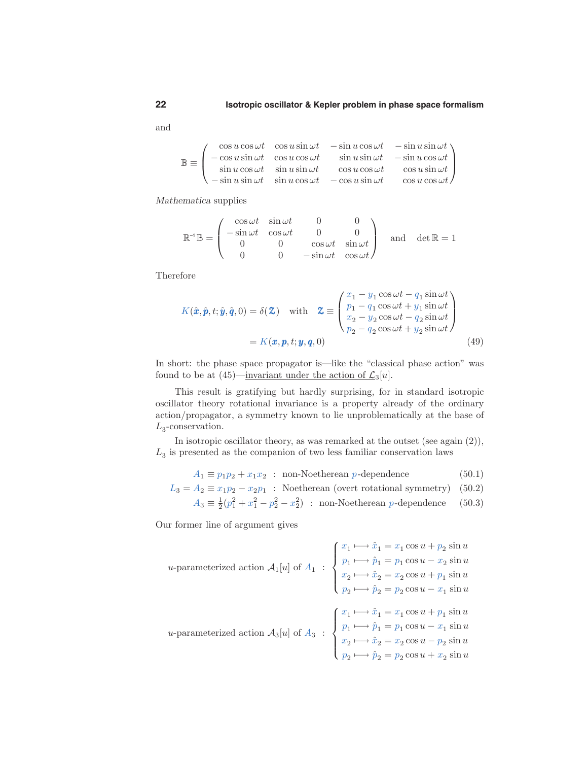and

 $\mathbb{B} \equiv$  $\sqrt{ }$  $\overline{ }$  $\cos u \cos \omega t$  cos  $u \sin \omega t$   $-\sin u \cos \omega t$   $-\sin u \sin \omega t$  $-\cos u \sin \omega t$   $\cos u \cos \omega t$   $\sin u \sin \omega t$   $-\sin u \cos \omega t$  $\sin u \cos \omega t$   $\sin u \sin \omega t$   $\cos u \cos \omega t$   $\cos u \sin \omega t$  $-\sin u \sin \omega t$   $\sin u \cos \omega t$   $-\cos u \sin \omega t$   $\cos u \cos \omega t$  $\setminus$  $\Big\}$ 

Mathematica supplies

$$
\mathbb{R}^{\mathcal{A}}\mathbb{B} = \begin{pmatrix} \cos \omega t & \sin \omega t & 0 & 0 \\ -\sin \omega t & \cos \omega t & 0 & 0 \\ 0 & 0 & \cos \omega t & \sin \omega t \\ 0 & 0 & -\sin \omega t & \cos \omega t \end{pmatrix} \text{ and } \det \mathbb{R} = 1
$$

Therefore

$$
K(\hat{\boldsymbol{x}}, \hat{\boldsymbol{p}}, t; \hat{\boldsymbol{y}}, \hat{\boldsymbol{q}}, 0) = \delta(\boldsymbol{\mathcal{Z}}) \quad \text{with} \quad \boldsymbol{\mathcal{Z}} \equiv \begin{pmatrix} x_1 - y_1 \cos \omega t - q_1 \sin \omega t \\ p_1 - q_1 \cos \omega t + y_1 \sin \omega t \\ x_2 - y_2 \cos \omega t - q_2 \sin \omega t \\ p_2 - q_2 \cos \omega t + y_2 \sin \omega t \end{pmatrix}
$$
  
=  $K(\boldsymbol{x}, \boldsymbol{p}, t; \boldsymbol{y}, \boldsymbol{q}, 0)$  (49)

In short: the phase space propagator is—like the "classical phase action" was found to be at  $(45)$ —invariant under the action of  $\mathcal{L}_3[u]$ .

This result is gratifying but hardly surprising, for in standard isotropic oscillator theory rotational invariance is a property already of the ordinary action/propagator, a symmetry known to lie unproblematically at the base of  $L_3$ -conservation.

In isotropic oscillator theory, as was remarked at the outset (see again (2)),  $L<sub>3</sub>$  is presented as the companion of two less familiar conservation laws

 $A_1 \equiv p_1p_2 + x_1x_2$  : non-Noetherean p-dependence (50.1)

 $L_3 = A_2 \equiv x_1 p_2 - x_2 p_1$ : Noetherean (overt rotational symmetry) (50.2)

$$
A_3 \equiv \frac{1}{2}(p_1^2 + x_1^2 - p_2^2 - x_2^2) \; : \; \text{non-Noetherean } p \text{-dependence} \tag{50.3}
$$

Our former line of argument gives

$$
u\text{-parameterized action } \mathcal{A}_1[u] \text{ of } A_1 \; : \; \begin{cases} x_1 \longmapsto \hat{x}_1 = x_1 \cos u + p_2 \sin u \\ p_1 \longmapsto \hat{p}_1 = p_1 \cos u - x_2 \sin u \\ x_2 \longmapsto \hat{x}_2 = x_2 \cos u + p_1 \sin u \\ p_2 \longmapsto \hat{p}_2 = p_2 \cos u - x_1 \sin u \end{cases}
$$
  

$$
u\text{-parameterized action } \mathcal{A}_3[u] \text{ of } A_3 \; : \; \begin{cases} x_1 \longmapsto \hat{x}_1 = x_1 \cos u + p_1 \sin u \\ p_1 \longmapsto \hat{p}_1 = p_1 \cos u - x_1 \sin u \\ p_1 \longmapsto \hat{p}_1 = p_1 \cos u - x_1 \sin u \\ x_2 \longmapsto \hat{x}_2 = x_2 \cos u - p_2 \sin u \\ p_2 \longmapsto \hat{p}_2 = p_2 \cos u + x_2 \sin u \end{cases}
$$

$$
\bf{22}
$$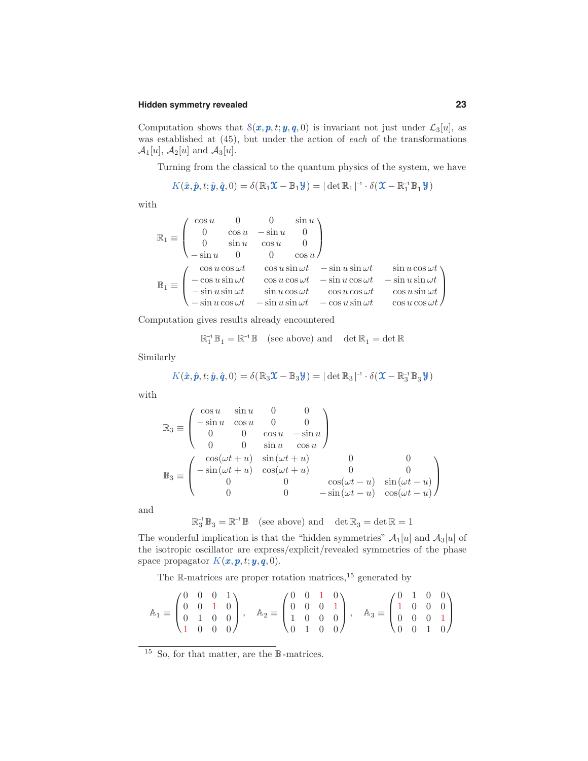# **Hidden symmetry revealed 23**

Computation shows that  $S(x, p, t; y, q, 0)$  is invariant not just under  $\mathcal{L}_3[u]$ , as was established at (45), but under the action of each of the transformations  $\mathcal{A}_1[u], \mathcal{A}_2[u]$  and  $\mathcal{A}_3[u]$ .

Turning from the classical to the quantum physics of the system, we have

$$
K(\hat{\boldsymbol{x}}, \hat{\boldsymbol{p}}, t; \hat{\boldsymbol{y}}, \hat{\boldsymbol{q}}, 0) = \delta(\mathbb{R}_1 \boldsymbol{\mathcal{X}} - \mathbb{B}_1 \boldsymbol{\mathcal{Y}}) = |\det \mathbb{R}_1|^{-1} \cdot \delta(\boldsymbol{\mathcal{X}} - \mathbb{R}_1^{-1} \mathbb{B}_1 \boldsymbol{\mathcal{Y}})
$$

with

$$
\mathbb{R}_1 \equiv \begin{pmatrix}\n\cos u & 0 & 0 & \sin u \\
0 & \cos u & -\sin u & 0 \\
0 & \sin u & \cos u & 0 \\
-\sin u & 0 & 0 & \cos u\n\end{pmatrix}
$$
  
\n
$$
\mathbb{B}_1 \equiv \begin{pmatrix}\n\cos u \cos \omega t & \cos u \sin \omega t & -\sin u \sin \omega t & \sin u \cos \omega t \\
-\cos u \sin \omega t & \cos u \cos \omega t & -\sin u \cos \omega t & -\sin u \sin \omega t \\
-\sin u \cos \omega t & \sin u \cos \omega t & \cos u \cos \omega t & \cos u \sin \omega t \\
-\sin u \cos \omega t & -\sin u \sin \omega t & -\cos u \sin \omega t & \cos u \cos \omega t\n\end{pmatrix}
$$

Computation gives results already encountered

$$
\mathbb{R}_1^{-1} \mathbb{B}_1 = \mathbb{R}^{-1} \mathbb{B} \quad \text{(see above) and} \quad \det \mathbb{R}_1 = \det \mathbb{R}
$$

Similarly

$$
K(\hat{\boldsymbol{x}}, \hat{\boldsymbol{p}}, t; \hat{\boldsymbol{y}}, \hat{\boldsymbol{q}}, 0) = \delta(\mathbb{R}_3\boldsymbol{\mathfrak{X}} - \mathbb{B}_3\boldsymbol{\mathcal{Y}}) = |\det \mathbb{R}_3|^{-1} \cdot \delta(\boldsymbol{\mathfrak{X}} - \mathbb{R}_3^{-1} \mathbb{B}_3\boldsymbol{\mathcal{Y}})
$$

with

$$
\mathbb{R}_3 \equiv \begin{pmatrix}\n\cos u & \sin u & 0 & 0 \\
-\sin u & \cos u & 0 & 0 \\
0 & 0 & \cos u & -\sin u \\
0 & 0 & \sin u & \cos u\n\end{pmatrix}
$$
  
\n
$$
\mathbb{B}_3 \equiv \begin{pmatrix}\n\cos(\omega t + u) & \sin(\omega t + u) & 0 & 0 \\
-\sin(\omega t + u) & \cos(\omega t + u) & 0 & 0 \\
0 & 0 & \cos(\omega t - u) & \sin(\omega t - u) \\
0 & 0 & -\sin(\omega t - u) & \cos(\omega t - u)\n\end{pmatrix}
$$

and

$$
\mathbb{R}_3^{-1} \mathbb{B}_3 = \mathbb{R}^{-1} \mathbb{B} \quad \text{(see above) and} \quad \det \mathbb{R}_3 = \det \mathbb{R} = 1
$$

The wonderful implication is that the "hidden symmetries"  $A_1[u]$  and  $A_3[u]$  of the isotropic oscillator are express/explicit/revealed symmetries of the phase space propagator  $K(\boldsymbol{x}, \boldsymbol{p}, t; \boldsymbol{y}, \boldsymbol{q}, 0)$ .

The R-matrices are proper rotation matrices,  $15$  generated by

$$
\mathbb{A}_1 \equiv \begin{pmatrix} 0 & 0 & 0 & 1 \\ 0 & 0 & 1 & 0 \\ 0 & 1 & 0 & 0 \\ 1 & 0 & 0 & 0 \end{pmatrix}, \quad \mathbb{A}_2 \equiv \begin{pmatrix} 0 & 0 & 1 & 0 \\ 0 & 0 & 0 & 1 \\ 1 & 0 & 0 & 0 \\ 0 & 1 & 0 & 0 \end{pmatrix}, \quad \mathbb{A}_3 \equiv \begin{pmatrix} 0 & 1 & 0 & 0 \\ 1 & 0 & 0 & 0 \\ 0 & 0 & 0 & 1 \\ 0 & 0 & 1 & 0 \end{pmatrix}
$$

<sup>&</sup>lt;sup>15</sup> So, for that matter, are the  $\mathbb B$ -matrices.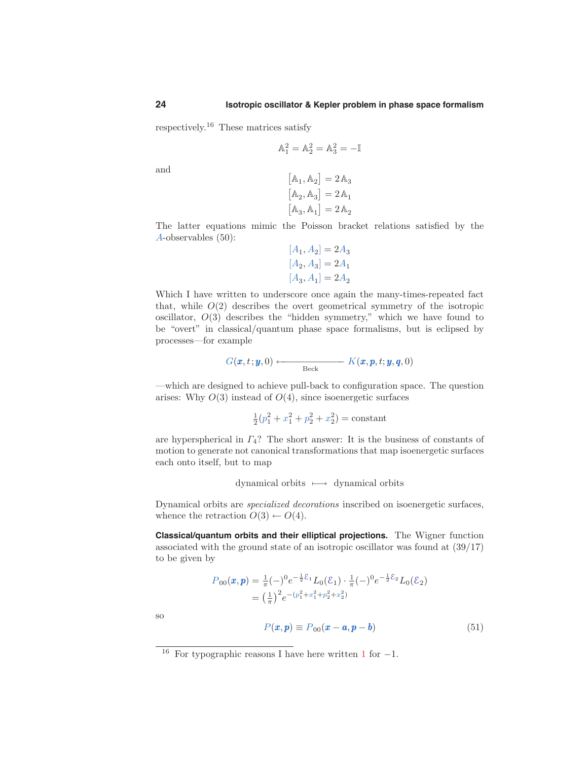respectively. <sup>16</sup> These matrices satisfy

$$
\mathbb{A}_1^2 = \mathbb{A}_2^2 = \mathbb{A}_3^2 = -\mathbb{I}
$$

and

$$
\begin{aligned} \left[\mathbb{A}_1, \mathbb{A}_2\right] &= 2\,\mathbb{A}_3\\ \left[\mathbb{A}_2, \mathbb{A}_3\right] &= 2\,\mathbb{A}_1\\ \left[\mathbb{A}_3, \mathbb{A}_1\right] &= 2\,\mathbb{A}_2 \end{aligned}
$$

The latter equations mimic the Poisson bracket relations satisfied by the A-observables (50):

$$
\begin{aligned}[A_1,A_2] &= 2A_3\\ [A_2,A_3] &= 2A_1\\ [A_3,A_1] &= 2A_2 \end{aligned}
$$

Which I have written to underscore once again the many-times-repeated fact that, while  $O(2)$  describes the overt geometrical symmetry of the isotropic oscillator, O(3) describes the "hidden symmetry," which we have found to be "overt" in classical/quantum phase space formalisms, but is eclipsed by processes—for example

$$
G(\boldsymbol{x},t;\boldsymbol{y},0) \longleftarrow \text{Beck} \qquad K(\boldsymbol{x},\boldsymbol{p},t;\boldsymbol{y},\boldsymbol{q},0)
$$

—which are designed to achieve pull-back to configuration space. The question arises: Why  $O(3)$  instead of  $O(4)$ , since isoenergetic surfaces

$$
\frac{1}{2}(p_1^2 + x_1^2 + p_2^2 + x_2^2) = \text{constant}
$$

are hyperspherical in  $\Gamma_4$ ? The short answer: It is the business of constants of motion to generate not canonical transformations that map isoenergetic surfaces each onto itself, but to map

dynamical orbits '−→ dynamical orbits

Dynamical orbits are specialized decorations inscribed on isoenergetic surfaces, whence the retraction  $O(3) \leftarrow O(4)$ .

**Classical/quantum orbits and their elliptical projections.** The Wigner function associated with the ground state of an isotropic oscillator was found at (39/17) to be given by

$$
P_{00}(\boldsymbol{x}, \boldsymbol{p}) = \frac{1}{\pi}(-)^0 e^{-\frac{1}{2}\mathcal{E}_1} L_0(\mathcal{E}_1) \cdot \frac{1}{\pi}(-)^0 e^{-\frac{1}{2}\mathcal{E}_2} L_0(\mathcal{E}_2)
$$
  
=  $\left(\frac{1}{\pi}\right)^2 e^{-(p_1^2 + x_1^2 + p_2^2 + x_2^2)}$ 

so

$$
P(\boldsymbol{x}, \boldsymbol{p}) \equiv P_{00}(\boldsymbol{x} - \boldsymbol{a}, \boldsymbol{p} - \boldsymbol{b}) \tag{51}
$$

<sup>&</sup>lt;sup>16</sup> For typographic reasons I have here written 1 for  $-1$ .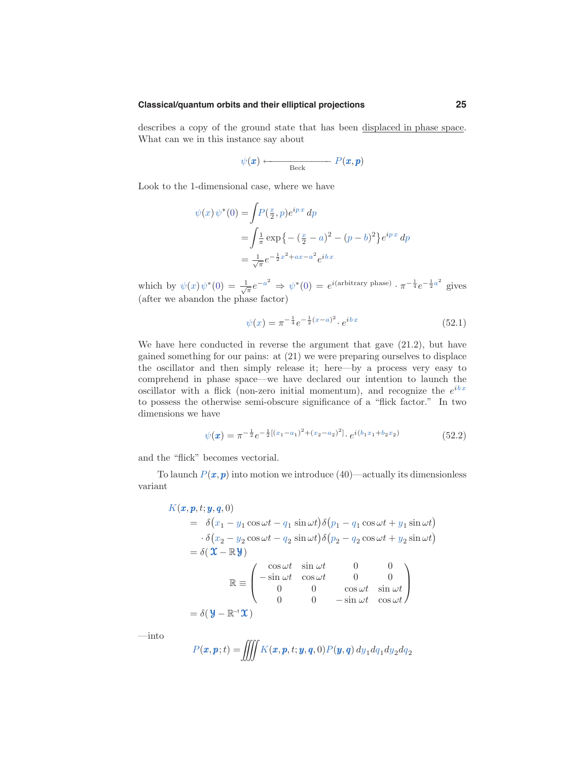#### **Classical/quantum orbits and their elliptical projections 25**

describes a copy of the ground state that has been displaced in phase space. What can we in this instance say about

$$
\psi(\pmb{x}) \longleftarrow \mathop{\text{Beck}} P(\pmb{x}, \pmb{p})
$$

Look to the 1-dimensional case, where we have

$$
\psi(x)\psi^*(0) = \int P(\frac{x}{2}, p)e^{ipx} dp
$$
  
=  $\int \frac{1}{\pi} \exp\{- (\frac{x}{2} - a)^2 - (p - b)^2\} e^{ipx} dp$   
=  $\frac{1}{\sqrt{\pi}} e^{-\frac{1}{2}x^2 + ax - a^2} e^{ibx}$ 

which by  $\psi(x)\psi^*(0) = \frac{1}{\sqrt{\pi}}e^{-a^2} \Rightarrow \psi^*(0) = e^{i(\text{arbitrary phase})}\cdot \pi^{-\frac{1}{4}}e^{-\frac{1}{2}a^2}$  gives (after we abandon the phase factor)

$$
\psi(x) = \pi^{-\frac{1}{4}} e^{-\frac{1}{2}(x-a)^2} \cdot e^{ibx} \tag{52.1}
$$

We have here conducted in reverse the argument that gave (21.2), but have gained something for our pains: at (21) we were preparing ourselves to displace the oscillator and then simply release it; here—by a process very easy to comprehend in phase space—we have declared our intention to launch the oscillator with a flick (non-zero initial momentum), and recognize the  $e^{ibx}$ to possess the otherwise semi-obscure significance of a "flick factor." In two dimensions we have

$$
\psi(\boldsymbol{x}) = \pi^{-\frac{1}{2}} e^{-\frac{1}{2}[(x_1 - a_1)^2 + (x_2 - a_2)^2]} \cdot e^{i(b_1 x_1 + b_2 x_2)} \tag{52.2}
$$

and the "flick" becomes vectorial.

To launch  $P(x, p)$  into motion we introduce (40)—actually its dimensionless variant

$$
K(\boldsymbol{x}, \boldsymbol{p}, t; \boldsymbol{y}, \boldsymbol{q}, 0)
$$
  
=  $\delta(x_1 - y_1 \cos \omega t - q_1 \sin \omega t) \delta(p_1 - q_1 \cos \omega t + y_1 \sin \omega t)$   
 $\cdot \delta(x_2 - y_2 \cos \omega t - q_2 \sin \omega t) \delta(p_2 - q_2 \cos \omega t + y_2 \sin \omega t)$   
=  $\delta(\boldsymbol{\mathcal{X}} - \mathbb{R}\boldsymbol{y})$   

$$
\mathbb{R} = \begin{pmatrix} \cos \omega t & \sin \omega t & 0 & 0 \\ -\sin \omega t & \cos \omega t & 0 & 0 \\ 0 & 0 & \cos \omega t & \sin \omega t \\ 0 & 0 & -\sin \omega t & \cos \omega t \end{pmatrix}
$$
  
=  $\delta(\boldsymbol{y} - \mathbb{R}^{-1}\boldsymbol{\mathcal{X}})$ 

—into

$$
P(\boldsymbol{x}, \boldsymbol{p}; t) = \iiint K(\boldsymbol{x}, \boldsymbol{p}, t; \boldsymbol{y}, \boldsymbol{q}, 0) P(\boldsymbol{y}, \boldsymbol{q}) dy_1 dq_1 dy_2 dq_2
$$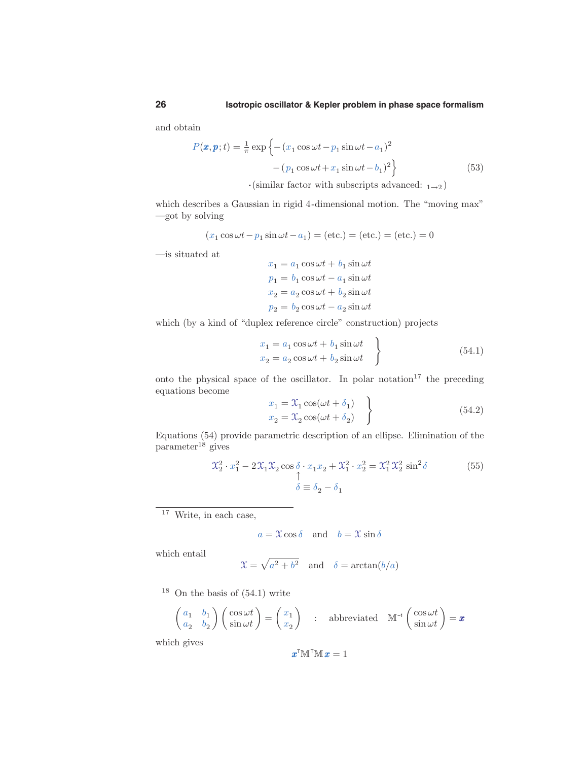and obtain

$$
P(\boldsymbol{x}, \boldsymbol{p}; t) = \frac{1}{\pi} \exp \left\{ - (x_1 \cos \omega t - p_1 \sin \omega t - a_1)^2 - (p_1 \cos \omega t + x_1 \sin \omega t - b_1)^2 \right\}
$$
(53)

 $\cdot$ (similar factor with subscripts advanced:  $_{1\rightarrow 2}$ )

which describes a Gaussian in rigid 4-dimensional motion. The "moving max" —got by solving

$$
(x_1 \cos \omega t - p_1 \sin \omega t - a_1) = (\text{etc.}) = (\text{etc.}) = (\text{etc.}) = 0
$$

—is situated at

 $x_1 = a_1 \cos \omega t + b_1 \sin \omega t$  $p_1 = b_1 \cos \omega t - a_1 \sin \omega t$  $x_2 = a_2 \cos \omega t + b_2 \sin \omega t$  $p_2 = b_2 \cos \omega t - a_2 \sin \omega t$ 

which (by a kind of "duplex reference circle" construction) projects

$$
x_1 = a_1 \cos \omega t + b_1 \sin \omega t
$$
  
\n
$$
x_2 = a_2 \cos \omega t + b_2 \sin \omega t
$$
 (54.1)

onto the physical space of the oscillator. In polar notation $17$  the preceding equations become

$$
x_1 = \mathcal{X}_1 \cos(\omega t + \delta_1)
$$
  
\n
$$
x_2 = \mathcal{X}_2 \cos(\omega t + \delta_2)
$$
\n(54.2)

Equations (54) provide parametric description of an ellipse. Elimination of the  $parameter<sup>18</sup> gives$ 

$$
\mathcal{X}_2^2 \cdot x_1^2 - 2\mathcal{X}_1 \mathcal{X}_2 \cos \delta \cdot x_1 x_2 + \mathcal{X}_1^2 \cdot x_2^2 = \mathcal{X}_1^2 \mathcal{X}_2^2 \sin^2 \delta
$$
\n
$$
\uparrow
$$
\n
$$
\delta \equiv \delta_2 - \delta_1
$$
\n(55)

 $17$  Write, in each case,

$$
a = \mathfrak{X}\cos\delta
$$
 and  $b = \mathfrak{X}\sin\delta$ 

which entail

$$
\mathfrak{X} = \sqrt{a^2 + b^2} \quad \text{and} \quad \delta = \arctan(b/a)
$$

 $18$  On the basis of  $(54.1)$  write

$$
\begin{pmatrix} a_1 & b_1 \ a_2 & b_2 \end{pmatrix} \begin{pmatrix} \cos \omega t \\ \sin \omega t \end{pmatrix} = \begin{pmatrix} x_1 \\ x_2 \end{pmatrix} : \text{ abbreviated } \mathbb{M}^{-1} \begin{pmatrix} \cos \omega t \\ \sin \omega t \end{pmatrix} = \boldsymbol{x}
$$

which gives

$$
\pmb{x}^{\mathsf{T}}\mathbb{M}^{\mathsf{T}}\mathbb{M}\,\pmb{x}=1
$$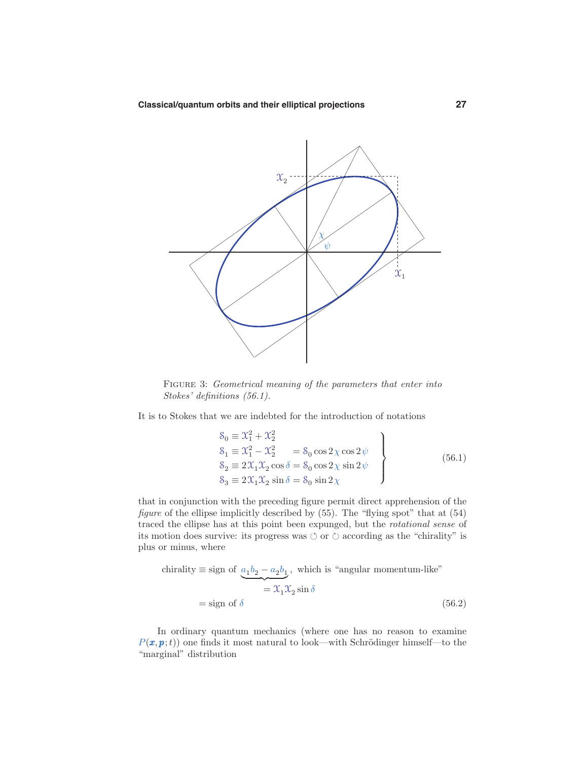

FIGURE 3: Geometrical meaning of the parameters that enter into Stokes' definitions (56.1).

It is to Stokes that we are indebted for the introduction of notations

$$
S_0 \equiv \mathcal{X}_1^2 + \mathcal{X}_2^2
$$
  
\n
$$
S_1 \equiv \mathcal{X}_1^2 - \mathcal{X}_2^2 = S_0 \cos 2\chi \cos 2\psi
$$
  
\n
$$
S_2 \equiv 2\mathcal{X}_1 \mathcal{X}_2 \cos \delta = S_0 \cos 2\chi \sin 2\psi
$$
  
\n
$$
S_3 \equiv 2\mathcal{X}_1 \mathcal{X}_2 \sin \delta = S_0 \sin 2\chi
$$
\n(56.1)

that in conjunction with the preceding figure permit direct apprehension of the figure of the ellipse implicitly described by  $(55)$ . The "flying spot" that at  $(54)$ traced the ellipse has at this point been expunged, but the rotational sense of its motion does survive: its progress was  $\circlearrowleft$  or  $\circlearrowright$  according as the "chirality" is plus or minus, where

chirality 
$$
\equiv
$$
 sign of  $\underbrace{a_1b_2 - a_2b_1}_{\equiv 2\pi 1} \times \text{ which is "angular momentum-like"}$   
 $= \underbrace{x_1x_2 \sin \delta}_{\equiv 2\pi 1} \times \text{ (56.2)}$ 

In ordinary quantum mechanics (where one has no reason to examine  $P(\mathbf{x}, \mathbf{p}; t)$  one finds it most natural to look—with Schrödinger himself—to the "marginal" distribution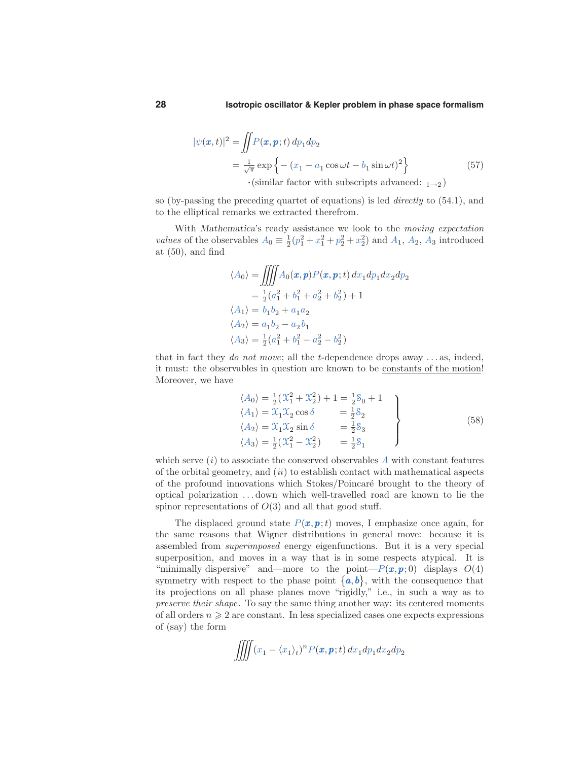$$
|\psi(\boldsymbol{x},t)|^2 = \iint P(\boldsymbol{x},\boldsymbol{p};t) \, dp_1 dp_2
$$
  
=  $\frac{1}{\sqrt{\pi}} \exp \left\{ - (x_1 - a_1 \cos \omega t - b_1 \sin \omega t)^2 \right\}$  (57)  
·(similar factor with subscripts advanced: <sub>1→2</sub>)

so (by-passing the preceding quartet of equations) is led directly to (54.1), and to the elliptical remarks we extracted therefrom.

With Mathematica's ready assistance we look to the moving expectation *values* of the observables  $A_0 \equiv \frac{1}{2}(p_1^2 + x_1^2 + p_2^2 + x_2^2)$  and  $A_1$ ,  $A_2$ ,  $A_3$  introduced at  $(50)$ , and find

$$
\langle A_0 \rangle = \iiint A_0(\mathbf{x}, \mathbf{p}) P(\mathbf{x}, \mathbf{p}; t) dx_1 dp_1 dx_2 dp_2
$$
  
=  $\frac{1}{2} (a_1^2 + b_1^2 + a_2^2 + b_2^2) + 1$   
 $\langle A_1 \rangle = b_1 b_2 + a_1 a_2$   
 $\langle A_2 \rangle = a_1 b_2 - a_2 b_1$   
 $\langle A_3 \rangle = \frac{1}{2} (a_1^2 + b_1^2 - a_2^2 - b_2^2)$ 

that in fact they do not move; all the t-dependence drops away  $\dots$  as, indeed, it must: the observables in question are known to be constants of the motion! Moreover, we have

$$
\langle A_0 \rangle = \frac{1}{2} (X_1^2 + X_2^2) + 1 = \frac{1}{2} S_0 + 1
$$
  
\n
$$
\langle A_1 \rangle = X_1 X_2 \cos \delta = \frac{1}{2} S_2
$$
  
\n
$$
\langle A_2 \rangle = X_1 X_2 \sin \delta = \frac{1}{2} S_3
$$
  
\n
$$
\langle A_3 \rangle = \frac{1}{2} (X_1^2 - X_2^2) = \frac{1}{2} S_1
$$
\n(58)

which serve  $(i)$  to associate the conserved observables  $A$  with constant features of the orbital geometry, and  $(ii)$  to establish contact with mathematical aspects of the profound innovations which Stokes/Poincar´e brought to the theory of optical polarization . . . down which well-travelled road are known to lie the spinor representations of  $O(3)$  and all that good stuff.

The displaced ground state  $P(x, p; t)$  moves, I emphasize once again, for the same reasons that Wigner distributions in general move: because it is assembled from superimposed energy eigenfunctions. But it is a very special superposition, and moves in a way that is in some respects atypical. It is "minimally dispersive" and—more to the point— $P(\mathbf{x}, \mathbf{p}; 0)$  displays  $O(4)$ symmetry with respect to the phase point  $\{a, b\}$ , with the consequence that its projections on all phase planes move "rigidly," i.e., in such a way as to preserve their shape. To say the same thing another way: its centered moments of all orders  $n \geqslant 2$  are constant. In less specialized cases one expects expressions of (say) the form

$$
\iiint (x_1 - \langle x_1 \rangle_t)^n P(\pmb{x}, \pmb{p}; t) dx_1 dp_1 dx_2 dp_2
$$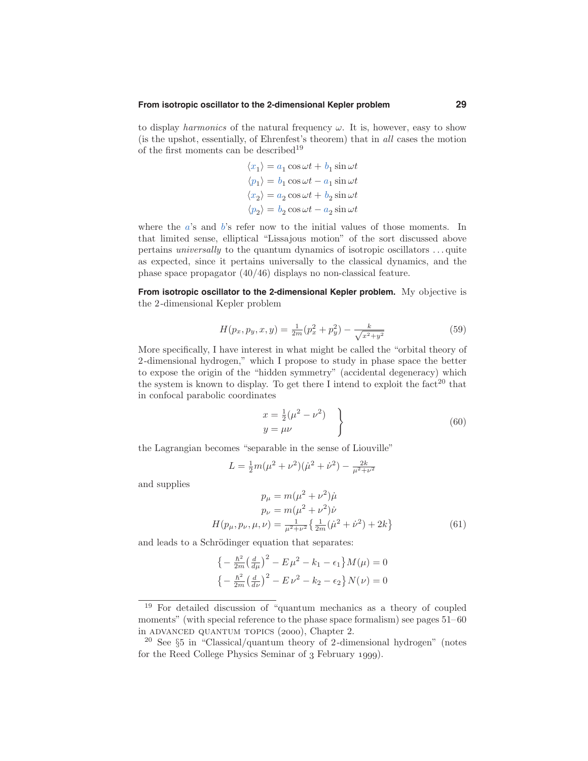#### **From isotropic oscillator to the 2-dimensional Kepler problem 29**

to display harmonics of the natural frequency  $\omega$ . It is, however, easy to show (is the upshot, essentially, of Ehrenfest's theorem) that in all cases the motion of the first moments can be described<sup>19</sup>

$$
\langle x_1 \rangle = a_1 \cos \omega t + b_1 \sin \omega t
$$

$$
\langle p_1 \rangle = b_1 \cos \omega t - a_1 \sin \omega t
$$

$$
\langle x_2 \rangle = a_2 \cos \omega t + b_2 \sin \omega t
$$

$$
\langle p_2 \rangle = b_2 \cos \omega t - a_2 \sin \omega t
$$

where the  $a$ 's and  $b$ 's refer now to the initial values of those moments. In that limited sense, elliptical "Lissajous motion" of the sort discussed above pertains universally to the quantum dynamics of isotropic oscillators . . . quite as expected, since it pertains universally to the classical dynamics, and the phase space propagator (40/46) displays no non-classical feature.

**From isotropic oscillator to the 2-dimensional Kepler problem.** My objective is the 2-dimensional Kepler problem

$$
H(p_x, p_y, x, y) = \frac{1}{2m}(p_x^2 + p_y^2) - \frac{k}{\sqrt{x^2 + y^2}}
$$
\n(59)

More specifically, I have interest in what might be called the "orbital theory of 2-dimensional hydrogen," which I propose to study in phase space the better to expose the origin of the "hidden symmetry" (accidental degeneracy) which the system is known to display. To get there I intend to exploit the fact<sup>20</sup> that in confocal parabolic coordinates

$$
\begin{aligned}\nx &= \frac{1}{2}(\mu^2 - \nu^2) \\
y &= \mu\nu\n\end{aligned} \qquad (60)
$$

the Lagrangian becomes "separable in the sense of Liouville"

$$
L = \frac{1}{2}m(\mu^2 + \nu^2)(\dot{\mu}^2 + \dot{\nu}^2) - \frac{2k}{\mu^2 + \nu^2}
$$

and supplies

$$
p_{\mu} = m(\mu^2 + \nu^2)\dot{\mu}
$$
  
\n
$$
p_{\nu} = m(\mu^2 + \nu^2)\dot{\nu}
$$
  
\n
$$
H(p_{\mu}, p_{\nu}, \mu, \nu) = \frac{1}{\mu^2 + \nu^2} \left\{ \frac{1}{2m} (\dot{\mu}^2 + \dot{\nu}^2) + 2k \right\}
$$
 (61)

and leads to a Schrödinger equation that separates:

$$
\left\{-\frac{\hbar^2}{2m}\left(\frac{d}{d\mu}\right)^2 - E\,\mu^2 - k_1 - \epsilon_1\right\}M(\mu) = 0
$$
  

$$
\left\{-\frac{\hbar^2}{2m}\left(\frac{d}{d\nu}\right)^2 - E\,\nu^2 - k_2 - \epsilon_2\right\}N(\nu) = 0
$$

<sup>19</sup> For detailed discussion of "quantum mechanics as a theory of coupled moments" (with special reference to the phase space formalism) see pages  $51-60$ in ADVANCED QUANTUM TOPICS (2000), Chapter 2.

<sup>&</sup>lt;sup>20</sup> See  $\S5$  in "Classical/quantum theory of 2-dimensional hydrogen" (notes for the Reed College Physics Seminar of 3 February 1999).